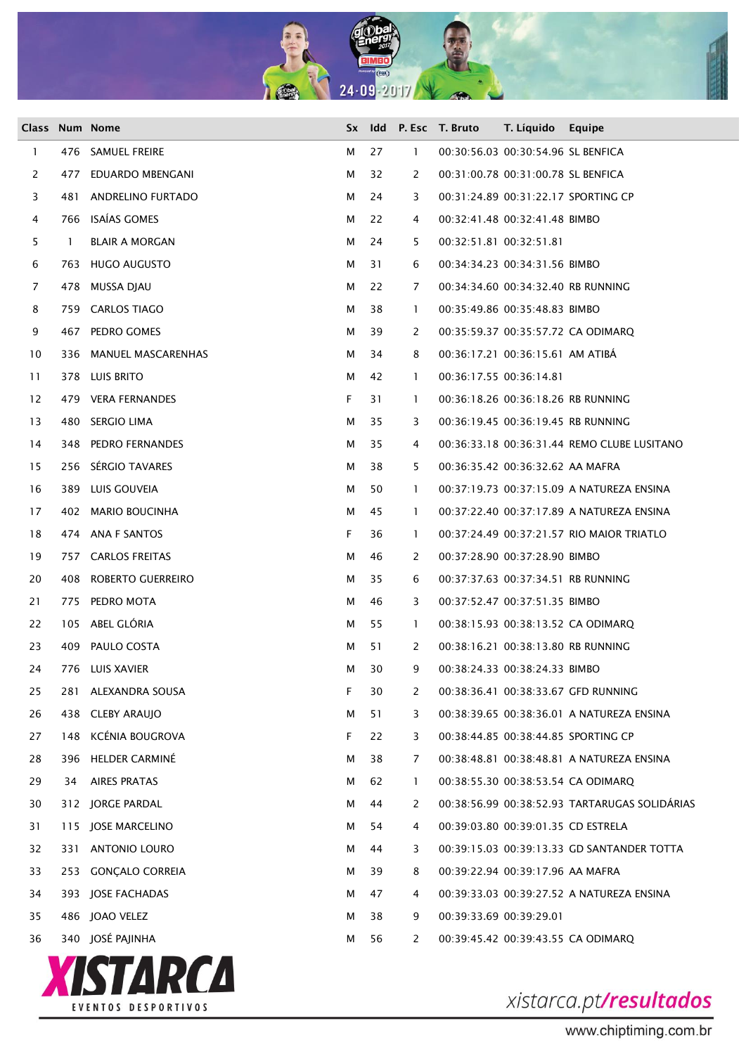

|              |     | Class Num Nome         | <b>Sx</b> |    |                | Idd P. Esc T. Bruto | T. Líquido                         | Equipe                                        |
|--------------|-----|------------------------|-----------|----|----------------|---------------------|------------------------------------|-----------------------------------------------|
| $\mathbf{1}$ |     | 476 SAMUEL FREIRE      | м         | 27 | $\mathbf{1}$   |                     | 00:30:56.03 00:30:54.96 SL BENFICA |                                               |
| 2            | 477 | EDUARDO MBENGANI       | м         | 32 | 2              |                     | 00:31:00.78 00:31:00.78 SL BENFICA |                                               |
| 3            | 481 | ANDRELINO FURTADO      | м         | 24 | 3              |                     |                                    | 00:31:24.89 00:31:22.17 SPORTING CP           |
| 4            |     | 766 ISAÍAS GOMES       | м         | 22 | 4              |                     | 00:32:41.48 00:32:41.48 BIMBO      |                                               |
| 5            | Т.  | <b>BLAIR A MORGAN</b>  | м         | 24 | 5              |                     | 00:32:51.81 00:32:51.81            |                                               |
| 6            |     | 763 HUGO AUGUSTO       | м         | 31 | 6              |                     | 00:34:34.23 00:34:31.56 BIMBO      |                                               |
| 7            |     | 478 MUSSA DIAU         | м         | 22 | 7              |                     |                                    | 00:34:34.60 00:34:32.40 RB RUNNING            |
| 8            |     | 759 CARLOS TIAGO       | м         | 38 | $\mathbf{1}$   |                     | 00:35:49.86 00:35:48.83 BIMBO      |                                               |
| 9            |     | 467 PEDRO GOMES        | м         | 39 | 2              |                     |                                    | 00:35:59.37 00:35:57.72 CA ODIMARQ            |
| 10           |     | 336 MANUEL MASCARENHAS | м         | 34 | 8              |                     | 00:36:17.21 00:36:15.61 AM ATIBÁ   |                                               |
| 11           |     | 378 LUIS BRITO         | м         | 42 | $\mathbf{1}$   |                     | 00:36:17.55 00:36:14.81            |                                               |
| 12           |     | 479 VERA FERNANDES     | F.        | 31 | $\mathbf{1}$   |                     |                                    | 00:36:18.26 00:36:18.26 RB RUNNING            |
| 13           |     | 480 SERGIO LIMA        | м         | 35 | 3              |                     |                                    | 00:36:19.45 00:36:19.45 RB RUNNING            |
| 14           |     | 348 PEDRO FERNANDES    | м         | 35 | 4              |                     |                                    | 00:36:33.18 00:36:31.44 REMO CLUBE LUSITANO   |
| 15           |     | 256 SÉRGIO TAVARES     | м         | 38 | 5              |                     | 00:36:35.42 00:36:32.62 AA MAFRA   |                                               |
| 16           |     | 389 LUIS GOUVEIA       | м         | 50 | $\mathbf{1}$   |                     |                                    | 00:37:19.73 00:37:15.09 A NATUREZA ENSINA     |
| 17           |     | 402 MARIO BOUCINHA     | м         | 45 | $\mathbf{1}$   |                     |                                    | 00:37:22.40 00:37:17.89 A NATUREZA ENSINA     |
| 18           |     | 474 ANA F SANTOS       | F.        | 36 | $\mathbf{1}$   |                     |                                    | 00:37:24.49 00:37:21.57 RIO MAIOR TRIATLO     |
| 19           |     | 757 CARLOS FREITAS     | м         | 46 | 2              |                     | 00:37:28.90 00:37:28.90 BIMBO      |                                               |
| 20           |     | 408 ROBERTO GUERREIRO  | м         | 35 | 6              |                     |                                    | 00:37:37.63 00:37:34.51 RB RUNNING            |
| 21           |     | 775 PEDRO MOTA         | м         | 46 | 3              |                     | 00:37:52.47 00:37:51.35 BIMBO      |                                               |
| 22           |     | 105 ABEL GLÓRIA        | м         | 55 | $\mathbf{1}$   |                     |                                    | 00:38:15.93 00:38:13.52 CA ODIMARQ            |
| 23           |     | 409 PAULO COSTA        | м         | 51 | 2              |                     |                                    | 00:38:16.21 00:38:13.80 RB RUNNING            |
| 24           |     | 776 LUIS XAVIER        | м         | 30 | 9              |                     | 00:38:24.33 00:38:24.33 BIMBO      |                                               |
| 25           | 281 | ALEXANDRA SOUSA        | F         | 30 | 2              |                     |                                    | 00:38:36.41 00:38:33.67 GFD RUNNING           |
| 26           |     | 438 CLEBY ARAUJO       | м         | 51 | 3              |                     |                                    | 00:38:39.65 00:38:36.01 A NATUREZA ENSINA     |
| 27           | 148 | KCÉNIA BOUGROVA        | F.        | 22 | 3              |                     |                                    | 00:38:44.85 00:38:44.85 SPORTING CP           |
| 28           |     | 396 HELDER CARMINÉ     | м         | 38 | $\overline{7}$ |                     |                                    | 00:38:48.81 00:38:48.81 A NATUREZA ENSINA     |
| 29           | 34  | <b>AIRES PRATAS</b>    | м         | 62 | $\mathbf{1}$   |                     |                                    | 00:38:55.30 00:38:53.54 CA ODIMARQ            |
| 30           |     | 312 JORGE PARDAL       | м         | 44 | 2              |                     |                                    | 00:38:56.99 00:38:52.93 TARTARUGAS SOLIDÁRIAS |
| 31           | 115 | JOSE MARCELINO         | м         | 54 | 4              |                     | 00:39:03.80 00:39:01.35 CD ESTRELA |                                               |
| 32           | 331 | ANTONIO LOURO          | м         | 44 | 3              |                     |                                    | 00:39:15.03  00:39:13.33  GD SANTANDER TOTTA  |
| 33           | 253 | <b>GONÇALO CORREIA</b> | м         | 39 | 8              |                     | 00:39:22.94 00:39:17.96 AA MAFRA   |                                               |
| 34           |     | 393 JOSE FACHADAS      | м         | 47 | 4              |                     |                                    | 00:39:33.03 00:39:27.52 A NATUREZA ENSINA     |
| 35           |     | 486 JOAO VELEZ         | м         | 38 | 9              |                     | 00:39:33.69 00:39:29.01            |                                               |
| 36           |     | 340 JOSÉ PAJINHA       | м         | 56 | 2              |                     |                                    | 00:39:45.42 00:39:43.55 CA ODIMARQ            |



www.chiptiming.com.br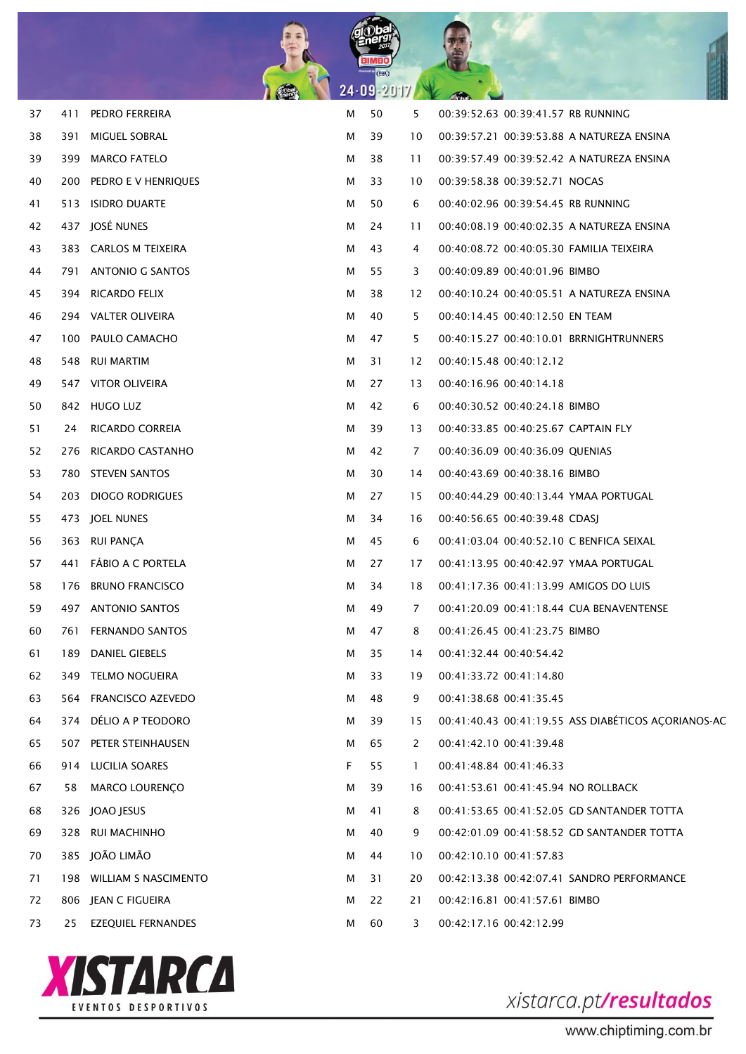

| 37 | 411 | PEDRO FERREIRA            | М | 50 | 5            | 00:39:52.63 00:39:41.57 RB RUNNING                  |
|----|-----|---------------------------|---|----|--------------|-----------------------------------------------------|
| 38 | 391 | MIGUEL SOBRAL             | м | 39 | 10           | 00:39:57.21 00:39:53.88 A NATUREZA ENSINA           |
| 39 |     | 399 MARCO FATELO          | м | 38 | 11           | 00:39:57.49 00:39:52.42 A NATUREZA ENSINA           |
| 40 |     | 200 PEDRO E V HENRIQUES   | м | 33 | 10           | 00:39:58.38 00:39:52.71 NOCAS                       |
| 41 |     | 513 ISIDRO DUARTE         | м | 50 | 6            | 00:40:02.96 00:39:54.45 RB RUNNING                  |
| 42 |     | 437 JOSÉ NUNES            | м | 24 | 11           | 00:40:08.19 00:40:02.35 A NATUREZA ENSINA           |
| 43 |     | 383 CARLOS M TEIXEIRA     | м | 43 | 4            | 00:40:08.72 00:40:05.30 FAMILIA TEIXEIRA            |
| 44 |     | 791 ANTONIO G SANTOS      | м | 55 | 3            | 00:40:09.89 00:40:01.96 BIMBO                       |
| 45 |     | 394 RICARDO FELIX         | м | 38 | 12           | 00:40:10.24 00:40:05.51 A NATUREZA ENSINA           |
| 46 |     | 294 VALTER OLIVEIRA       | м | 40 | 5            | 00:40:14.45 00:40:12.50 EN TEAM                     |
| 47 |     | 100 PAULO CAMACHO         | м | 47 | 5            | 00:40:15.27 00:40:10.01 BRRNIGHTRUNNERS             |
| 48 |     | 548 RUI MARTIM            | м | 31 | 12           | 00:40:15.48 00:40:12.12                             |
| 49 |     | 547 VITOR OLIVEIRA        | м | 27 | 13           | 00:40:16.96 00:40:14.18                             |
| 50 |     | 842 HUGO LUZ              | м | 42 | 6            | 00:40:30.52 00:40:24.18 BIMBO                       |
| 51 | 24  | RICARDO CORREIA           | м | 39 | 13           | 00:40:33.85 00:40:25.67 CAPTAIN FLY                 |
| 52 |     | 276 RICARDO CASTANHO      | м | 42 | 7            | 00:40:36.09 00:40:36.09 QUENIAS                     |
| 53 |     | 780 STEVEN SANTOS         | м | 30 | 14           | 00:40:43.69 00:40:38.16 BIMBO                       |
| 54 |     | 203 DIOGO RODRIGUES       | м | 27 | 15           | 00:40:44.29 00:40:13.44 YMAA PORTUGAL               |
| 55 |     | 473 JOEL NUNES            | м | 34 | 16           | 00:40:56.65 00:40:39.48 CDASJ                       |
| 56 |     | 363 RUI PANCA             | м | 45 | 6            | 00:41:03.04 00:40:52.10 C BENFICA SEIXAL            |
| 57 |     | 441 FÁBIO A C PORTELA     | м | 27 | 17           | 00:41:13.95 00:40:42.97 YMAA PORTUGAL               |
| 58 |     | 176 BRUNO FRANCISCO       | м | 34 | 18           | 00:41:17.36 00:41:13.99 AMIGOS DO LUIS              |
| 59 |     | 497 ANTONIO SANTOS        | м | 49 | 7            | 00:41:20.09 00:41:18.44 CUA BENAVENTENSE            |
| 60 | 761 | <b>FERNANDO SANTOS</b>    | м | 47 | 8            | 00:41:26.45 00:41:23.75 BIMBO                       |
| 61 |     | 189 DANIEL GIEBELS        | м | 35 | 14           | 00:41:32.44 00:40:54.42                             |
| 62 | 349 | <b>TELMO NOGUEIRA</b>     | м | 33 | 19           | 00:41:33.72 00:41:14.80                             |
| 63 | 564 | <b>FRANCISCO AZEVEDO</b>  | М | 48 | 9            | 00:41:38.68 00:41:35.45                             |
| 64 | 374 | DÉLIO A P TEODORO         | М | 39 | 15           | 00:41:40.43 00:41:19.55 ASS DIABÉTICOS ACORIANOS-AC |
| 65 |     | 507 PETER STEINHAUSEN     | М | 65 | 2            | 00:41:42.10 00:41:39.48                             |
| 66 | 914 | LUCILIA SOARES            | F | 55 | $\mathbf{1}$ | 00:41:48.84 00:41:46.33                             |
| 67 | 58  | <b>MARCO LOURENCO</b>     | М | 39 | 16           | 00:41:53.61 00:41:45.94 NO ROLLBACK                 |
| 68 | 326 | JOAO JESUS                | М | 41 | 8            | 00:41:53.65 00:41:52.05 GD SANTANDER TOTTA          |
| 69 | 328 | RUI MACHINHO              | М | 40 | 9            | 00:42:01.09 00:41:58.52 GD SANTANDER TOTTA          |
| 70 |     | 385 JOÃO LIMÃO            | м | 44 | 10           | 00:42:10.10 00:41:57.83                             |
| 71 |     | 198 WILLIAM S NASCIMENTO  | М | 31 | 20           | 00:42:13.38 00:42:07.41 SANDRO PERFORMANCE          |
| 72 |     | 806 JEAN C FIGUEIRA       | м | 22 | 21           | 00:42:16.81 00:41:57.61 BIMBO                       |
| 73 | 25  | <b>EZEQUIEL FERNANDES</b> | м | 60 | 3            | 00:42:17.16 00:42:12.99                             |

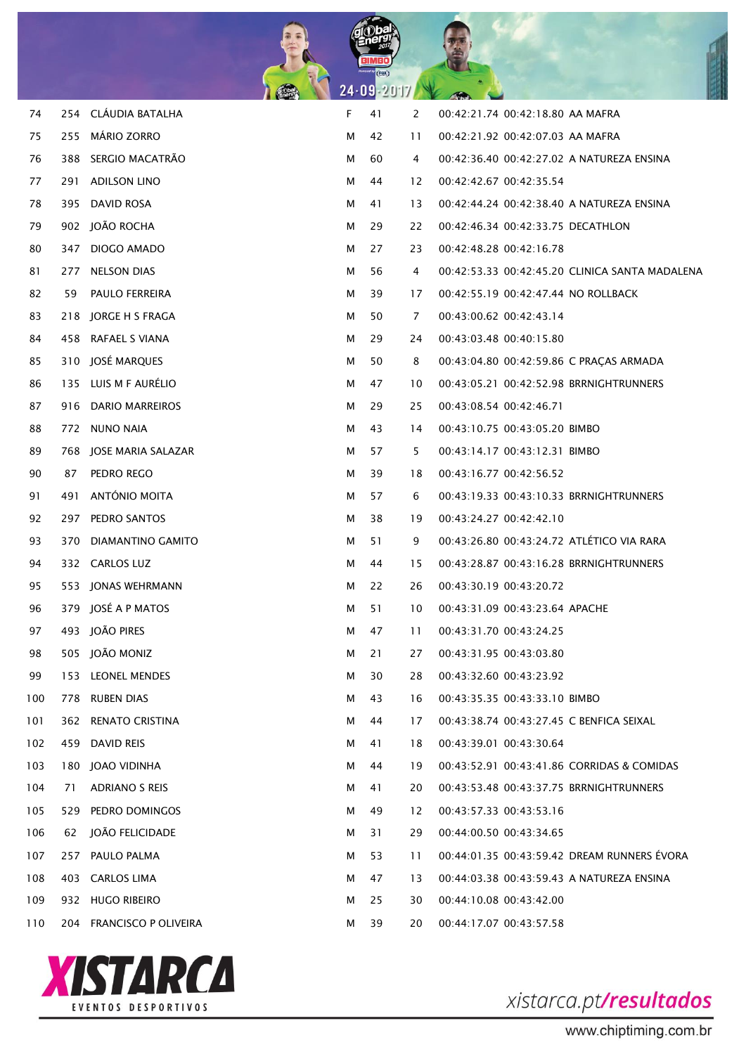

| 74  |     | 254 CLÁUDIA BATALHA      | F | 41 | 2  | 00:42:21.74 00:42:18.80 AA MAFRA               |
|-----|-----|--------------------------|---|----|----|------------------------------------------------|
| 75  | 255 | <b>MÁRIO ZORRO</b>       | м | 42 | 11 | 00:42:21.92 00:42:07.03 AA MAFRA               |
| 76  |     | 388 SERGIO MACATRÃO      | м | 60 | 4  | 00:42:36.40 00:42:27.02 A NATUREZA ENSINA      |
| 77  |     | 291 ADILSON LINO         | м | 44 | 12 | 00:42:42.67 00:42:35.54                        |
| 78  |     | 395 DAVID ROSA           | м | 41 | 13 | 00:42:44.24 00:42:38.40 A NATUREZA ENSINA      |
| 79  |     | 902 JOÃO ROCHA           | м | 29 | 22 | 00:42:46.34 00:42:33.75 DECATHLON              |
| 80  |     | 347 DIOGO AMADO          | м | 27 | 23 | 00:42:48.28 00:42:16.78                        |
| 81  |     | 277 NELSON DIAS          | М | 56 | 4  | 00:42:53.33 00:42:45.20 CLINICA SANTA MADALENA |
| 82  |     | 59 PAULO FERREIRA        | м | 39 | 17 | 00:42:55.19 00:42:47.44 NO ROLLBACK            |
| 83  |     | 218 JORGE H S FRAGA      | м | 50 | 7  | 00:43:00.62 00:42:43.14                        |
| 84  |     | 458 RAFAEL S VIANA       | м | 29 | 24 | 00:43:03.48 00:40:15.80                        |
| 85  |     | 310 JOSÉ MARQUES         | м | 50 | 8  | 00:43:04.80 00:42:59.86 C PRACAS ARMADA        |
| 86  |     | 135 LUIS M F AURÉLIO     | м | 47 | 10 | 00:43:05.21 00:42:52.98 BRRNIGHTRUNNERS        |
| 87  |     | 916 DARIO MARREIROS      | м | 29 | 25 | 00:43:08.54 00:42:46.71                        |
| 88  |     | 772 NUNO NAIA            | м | 43 | 14 | 00:43:10.75 00:43:05.20 BIMBO                  |
| 89  |     | 768 JOSE MARIA SALAZAR   | м | 57 | 5  | 00:43:14.17 00:43:12.31 BIMBO                  |
| 90  | 87  | PEDRO REGO               | м | 39 | 18 | 00:43:16.77 00:42:56.52                        |
| 91  |     | 491 ANTÓNIO MOITA        | м | 57 | 6  | 00:43:19.33 00:43:10.33 BRRNIGHTRUNNERS        |
| 92  |     | 297 PEDRO SANTOS         | м | 38 | 19 | 00:43:24.27 00:42:42.10                        |
| 93  |     | 370 DIAMANTINO GAMITO    | м | 51 | 9  | 00:43:26.80 00:43:24.72 ATLÉTICO VIA RARA      |
| 94  |     | 332 CARLOS LUZ           | м | 44 | 15 | 00:43:28.87 00:43:16.28 BRRNIGHTRUNNERS        |
| 95  |     | 553 JONAS WEHRMANN       | м | 22 | 26 | 00:43:30.19 00:43:20.72                        |
| 96  |     | 379 JOSÉ A P MATOS       | м | 51 | 10 | 00:43:31.09 00:43:23.64 APACHE                 |
| 97  |     | 493 JOÃO PIRES           | м | 47 | 11 | 00:43:31.70 00:43:24.25                        |
| 98  |     | 505 JOÃO MONIZ           | м | 21 | 27 | 00:43:31.95 00:43:03.80                        |
| 99  |     | 153 LEONEL MENDES        | м | 30 | 28 | 00:43:32.60 00:43:23.92                        |
| 100 |     | 778 RUBEN DIAS           | м | 43 | 16 | 00:43:35.35 00:43:33.10 BIMBO                  |
| 101 |     | 362 RENATO CRISTINA      | м | 44 | 17 | 00:43:38.74 00:43:27.45 C BENFICA SEIXAL       |
| 102 |     | 459 DAVID REIS           | м | 41 | 18 | 00:43:39.01 00:43:30.64                        |
| 103 |     | 180 JOAO VIDINHA         | м | 44 | 19 | 00:43:52.91 00:43:41.86 CORRIDAS & COMIDAS     |
| 104 | 71  | <b>ADRIANO S REIS</b>    | м | 41 | 20 | 00:43:53.48 00:43:37.75 BRRNIGHTRUNNERS        |
| 105 |     | 529 PEDRO DOMINGOS       | м | 49 | 12 | 00:43:57.33 00:43:53.16                        |
| 106 | 62  | JOÃO FELICIDADE          | м | 31 | 29 | 00:44:00.50 00:43:34.65                        |
| 107 |     | 257 PAULO PALMA          | м | 53 | 11 | 00:44:01.35 00:43:59.42 DREAM RUNNERS EVORA    |
| 108 |     | 403 CARLOS LIMA          | м | 47 | 13 | 00:44:03.38 00:43:59.43 A NATUREZA ENSINA      |
| 109 |     | 932 HUGO RIBEIRO         | м | 25 | 30 | 00:44:10.08 00:43:42.00                        |
| 110 |     | 204 FRANCISCO P OLIVEIRA | м | 39 | 20 | 00:44:17.07 00:43:57.58                        |

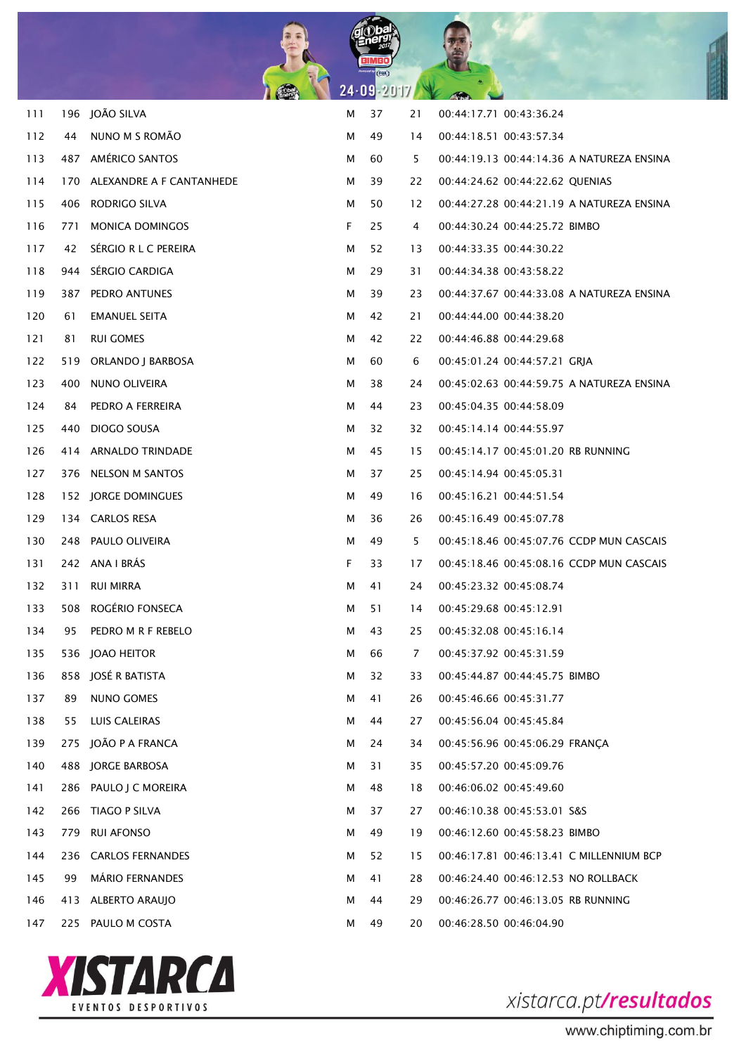

| 111 |     | 196 JOÃO SILVA           | М  | 37 | 21 | 00:44:17.71 00:43:36.24                   |
|-----|-----|--------------------------|----|----|----|-------------------------------------------|
| 112 | 44  | NUNO M S ROMÃO           | м  | 49 | 14 | 00:44:18.51 00:43:57.34                   |
| 113 | 487 | AMÉRICO SANTOS           | м  | 60 | 5  | 00:44:19.13 00:44:14.36 A NATUREZA ENSINA |
| 114 | 170 | ALEXANDRE A F CANTANHEDE | м  | 39 | 22 | 00:44:24.62 00:44:22.62 QUENIAS           |
| 115 | 406 | RODRIGO SILVA            | м  | 50 | 12 | 00:44:27.28 00:44:21.19 A NATUREZA ENSINA |
| 116 | 771 | <b>MONICA DOMINGOS</b>   | F. | 25 | 4  | 00:44:30.24 00:44:25.72 BIMBO             |
| 117 | 42  | SÉRGIO R L C PEREIRA     | м  | 52 | 13 | 00:44:33.35 00:44:30.22                   |
| 118 | 944 | SÉRGIO CARDIGA           | м  | 29 | 31 | 00:44:34.38 00:43:58.22                   |
| 119 | 387 | PEDRO ANTUNES            | м  | 39 | 23 | 00:44:37.67 00:44:33.08 A NATUREZA ENSINA |
| 120 | 61  | EMANUEL SEITA            | м  | 42 | 21 | 00:44:44.00 00:44:38.20                   |
| 121 | 81  | <b>RUI GOMES</b>         | м  | 42 | 22 | 00:44:46.88 00:44:29.68                   |
| 122 | 519 | ORLANDO J BARBOSA        | м  | 60 | 6  | 00:45:01.24 00:44:57.21 GRJA              |
| 123 | 400 | NUNO OLIVEIRA            | м  | 38 | 24 | 00:45:02.63 00:44:59.75 A NATUREZA ENSINA |
| 124 | 84  | PEDRO A FERREIRA         | м  | 44 | 23 | 00:45:04.35 00:44:58.09                   |
| 125 | 440 | DIOGO SOUSA              | м  | 32 | 32 | 00:45:14.14 00:44:55.97                   |
| 126 | 414 | ARNALDO TRINDADE         | м  | 45 | 15 | 00:45:14.17 00:45:01.20 RB RUNNING        |
| 127 | 376 | NELSON M SANTOS          | м  | 37 | 25 | 00:45:14.94 00:45:05.31                   |
| 128 | 152 | JORGE DOMINGUES          | м  | 49 | 16 | 00:45:16.21 00:44:51.54                   |
| 129 |     | 134 CARLOS RESA          | м  | 36 | 26 | 00:45:16.49 00:45:07.78                   |
| 130 | 248 | PAULO OLIVEIRA           | м  | 49 | 5  | 00:45:18.46 00:45:07.76 CCDP MUN CASCAIS  |
| 131 |     | 242 ANA I BRÁS           | F  | 33 | 17 | 00:45:18.46 00:45:08.16 CCDP MUN CASCAIS  |
| 132 | 311 | <b>RUI MIRRA</b>         | м  | 41 | 24 | 00:45:23.32 00:45:08.74                   |
| 133 | 508 | ROGÉRIO FONSECA          | м  | 51 | 14 | 00:45:29.68 00:45:12.91                   |
| 134 | 95  | PEDRO M R F REBELO       | м  | 43 | 25 | 00:45:32.08 00:45:16.14                   |
| 135 |     | 536 JOAO HEITOR          | м  | 66 | 7  | 00:45:37.92 00:45:31.59                   |
| 136 |     | 858 JOSÉ R BATISTA       | м  | 32 | 33 | 00:45:44.87 00:44:45.75 BIMBO             |
| 137 | 89  | NUNO GOMES               | м  | 41 | 26 | 00:45:46.66 00:45:31.77                   |
| 138 | 55  | <b>LUIS CALEIRAS</b>     | м  | 44 | 27 | 00:45:56.04 00:45:45.84                   |
| 139 | 275 | JOÃO P A FRANCA          | м  | 24 | 34 | 00:45:56.96 00:45:06.29 FRANCA            |
| 140 |     | 488 JORGE BARBOSA        | м  | 31 | 35 | 00:45:57.20 00:45:09.76                   |
| 141 | 286 | PAULO J C MOREIRA        | м  | 48 | 18 | 00:46:06.02 00:45:49.60                   |
| 142 | 266 | TIAGO P SILVA            | м  | 37 | 27 | 00:46:10.38 00:45:53.01 S&S               |
| 143 | 779 | <b>RUI AFONSO</b>        | м  | 49 | 19 | 00:46:12.60 00:45:58.23 BIMBO             |
| 144 | 236 | <b>CARLOS FERNANDES</b>  | м  | 52 | 15 | 00:46:17.81 00:46:13.41 C MILLENNIUM BCP  |
| 145 | 99  | <b>MÁRIO FERNANDES</b>   | м  | 41 | 28 | 00:46:24.40 00:46:12.53 NO ROLLBACK       |
| 146 | 413 | ALBERTO ARAUJO           | м  | 44 | 29 | 00:46:26.77 00:46:13.05 RB RUNNING        |
| 147 |     | 225 PAULO M COSTA        | м  | 49 | 20 | 00:46:28.50 00:46:04.90                   |

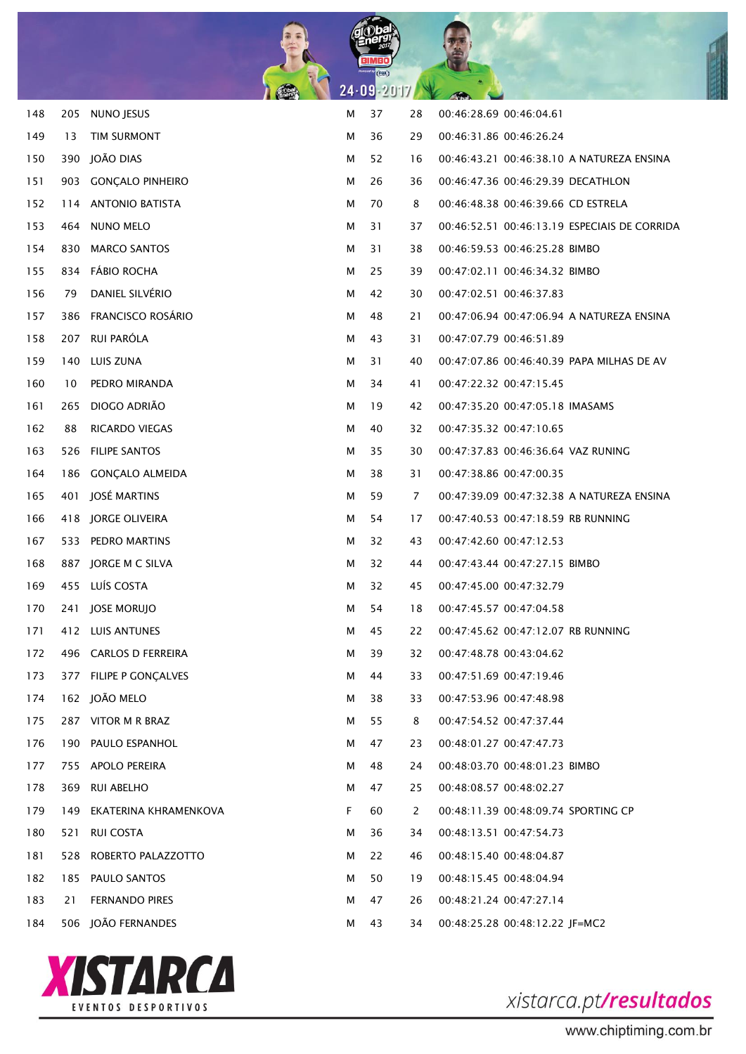

| 148 | 205 | NUNO JESUS               | М | 37 | 28 | 00:46:28.69 00:46:04.61                      |
|-----|-----|--------------------------|---|----|----|----------------------------------------------|
| 149 | 13  | TIM SURMONT              | М | 36 | 29 | 00:46:31.86 00:46:26.24                      |
| 150 | 390 | JOÃO DIAS                | м | 52 | 16 | 00:46:43.21 00:46:38.10 A NATUREZA ENSINA    |
| 151 | 903 | <b>GONÇALO PINHEIRO</b>  | м | 26 | 36 | 00:46:47.36 00:46:29.39 DECATHLON            |
| 152 | 114 | <b>ANTONIO BATISTA</b>   | м | 70 | 8  | 00:46:48.38 00:46:39.66 CD ESTRELA           |
| 153 | 464 | NUNO MELO                | М | 31 | 37 | 00:46:52.51 00:46:13.19 ESPECIAIS DE CORRIDA |
| 154 | 830 | <b>MARCO SANTOS</b>      | м | 31 | 38 | 00:46:59.53 00:46:25.28 BIMBO                |
| 155 | 834 | <b>FÁBIO ROCHA</b>       | М | 25 | 39 | 00:47:02.11 00:46:34.32 BIMBO                |
| 156 | 79  | DANIEL SILVÉRIO          | м | 42 | 30 | 00:47:02.51 00:46:37.83                      |
| 157 | 386 | <b>FRANCISCO ROSÁRIO</b> | м | 48 | 21 | 00:47:06.94 00:47:06.94 A NATUREZA ENSINA    |
| 158 | 207 | RUI PARÓLA               | м | 43 | 31 | 00:47:07.79 00:46:51.89                      |
| 159 | 140 | LUIS ZUNA                | м | 31 | 40 | 00:47:07.86 00:46:40.39 PAPA MILHAS DE AV    |
| 160 | 10  | PEDRO MIRANDA            | м | 34 | 41 | 00:47:22.32 00:47:15.45                      |
| 161 | 265 | DIOGO ADRIÃO             | м | 19 | 42 | 00:47:35.20 00:47:05.18 IMASAMS              |
| 162 | 88  | <b>RICARDO VIEGAS</b>    | м | 40 | 32 | 00:47:35.32 00:47:10.65                      |
| 163 | 526 | <b>FILIPE SANTOS</b>     | м | 35 | 30 | 00:47:37.83 00:46:36.64 VAZ RUNING           |
| 164 | 186 | <b>GONÇALO ALMEIDA</b>   | м | 38 | 31 | 00:47:38.86 00:47:00.35                      |
| 165 | 401 | JOSÉ MARTINS             | м | 59 | 7  | 00:47:39.09 00:47:32.38 A NATUREZA ENSINA    |
| 166 | 418 | JORGE OLIVEIRA           | м | 54 | 17 | 00:47:40.53 00:47:18.59 RB RUNNING           |
| 167 | 533 | PEDRO MARTINS            | м | 32 | 43 | 00:47:42.60 00:47:12.53                      |
| 168 | 887 | JORGE M C SILVA          | м | 32 | 44 | 00:47:43.44 00:47:27.15 BIMBO                |
| 169 |     | 455 LUÍS COSTA           | м | 32 | 45 | 00:47:45.00 00:47:32.79                      |
| 170 | 241 | <b>JOSE MORUJO</b>       | м | 54 | 18 | 00:47:45.57 00:47:04.58                      |
| 171 |     | 412 LUIS ANTUNES         | м | 45 | 22 | 00:47:45.62 00:47:12.07 RB RUNNING           |
| 172 |     | 496 CARLOS D FERREIRA    | м | 39 | 32 | 00:47:48.78 00:43:04.62                      |
| 173 |     | 377 FILIPE P GONÇALVES   | м | 44 | 33 | 00:47:51.69 00:47:19.46                      |
| 174 |     | 162 JOÃO MELO            | М | 38 | 33 | 00:47:53.96 00:47:48.98                      |
| 175 |     | 287 VITOR M R BRAZ       | м | 55 | 8  | 00:47:54.52 00:47:37.44                      |
| 176 |     | 190 PAULO ESPANHOL       | м | 47 | 23 | 00:48:01.27 00:47:47.73                      |
| 177 |     | 755 APOLO PEREIRA        | м | 48 | 24 | 00:48:03.70 00:48:01.23 BIMBO                |
| 178 | 369 | <b>RUI ABELHO</b>        | м | 47 | 25 | 00:48:08.57 00:48:02.27                      |
| 179 | 149 | EKATERINA KHRAMENKOVA    | F | 60 | 2  | 00:48:11.39 00:48:09.74 SPORTING CP          |
| 180 | 521 | <b>RUI COSTA</b>         | м | 36 | 34 | 00:48:13.51 00:47:54.73                      |
| 181 | 528 | ROBERTO PALAZZOTTO       | м | 22 | 46 | 00:48:15.40 00:48:04.87                      |
| 182 | 185 | PAULO SANTOS             | м | 50 | 19 | 00:48:15.45 00:48:04.94                      |
| 183 | 21  | <b>FERNANDO PIRES</b>    | м | 47 | 26 | 00:48:21.24 00:47:27.14                      |
| 184 |     | 506 JOÃO FERNANDES       | м | 43 | 34 | 00:48:25.28 00:48:12.22 JF=MC2               |

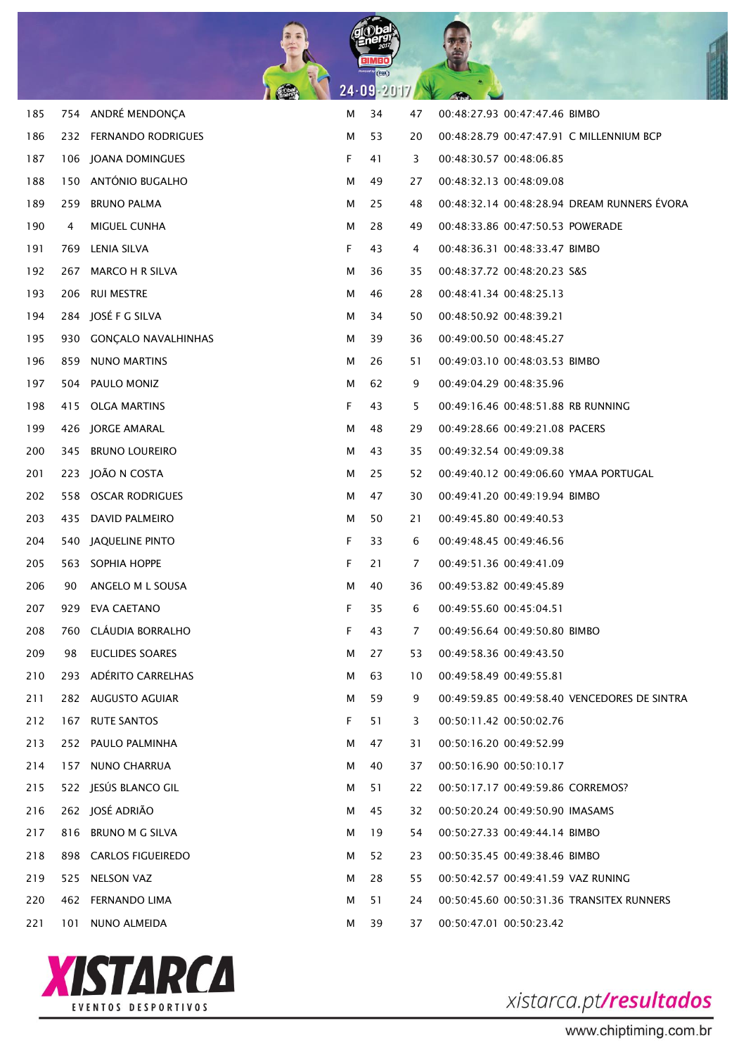

| 185 |       | 754 ANDRÉ MENDONÇA      | М | 34 | 47 | 00:48:27.93 00:47:47.46 BIMBO                |
|-----|-------|-------------------------|---|----|----|----------------------------------------------|
| 186 |       | 232 FERNANDO RODRIGUES  | M | 53 | 20 | 00:48:28.79 00:47:47.91 C MILLENNIUM BCP     |
| 187 |       | 106 JOANA DOMINGUES     | F | 41 | 3  | 00:48:30.57 00:48:06.85                      |
| 188 | 150   | ANTÓNIO BUGALHO         | M | 49 | 27 | 00:48:32.13 00:48:09.08                      |
| 189 | 259   | <b>BRUNO PALMA</b>      | М | 25 | 48 | 00:48:32.14 00:48:28.94 DREAM RUNNERS ÉVORA  |
| 190 | 4     | MIGUEL CUNHA            | м | 28 | 49 | 00:48:33.86 00:47:50.53 POWERADE             |
| 191 | 769   | LENIA SILVA             | F | 43 | 4  | 00:48:36.31 00:48:33.47 BIMBO                |
| 192 | 267   | <b>MARCO H R SILVA</b>  | М | 36 | 35 | 00:48:37.72 00:48:20.23 S&S                  |
| 193 |       | 206 RUI MESTRE          | м | 46 | 28 | 00:48:41.34 00:48:25.13                      |
| 194 |       | 284 JOSÉ F G SILVA      | м | 34 | 50 | 00:48:50.92 00:48:39.21                      |
| 195 |       | 930 GONÇALO NAVALHINHAS | м | 39 | 36 | 00:49:00.50 00:48:45.27                      |
| 196 | 859   | <b>NUNO MARTINS</b>     | м | 26 | 51 | 00:49:03.10 00:48:03.53 BIMBO                |
| 197 |       | 504 PAULO MONIZ         | м | 62 | 9  | 00:49:04.29 00:48:35.96                      |
| 198 | 415   | <b>OLGA MARTINS</b>     | F | 43 | 5  | 00:49:16.46 00:48:51.88 RB RUNNING           |
| 199 |       | 426 JORGE AMARAL        | м | 48 | 29 | 00:49:28.66 00:49:21.08 PACERS               |
| 200 | 345   | <b>BRUNO LOUREIRO</b>   | м | 43 | 35 | 00:49:32.54 00:49:09.38                      |
| 201 |       | 223 JOÃO N COSTA        | м | 25 | 52 | 00:49:40.12 00:49:06.60 YMAA PORTUGAL        |
| 202 |       | 558 OSCAR RODRIGUES     | м | 47 | 30 | 00:49:41.20 00:49:19.94 BIMBO                |
| 203 |       | 435 DAVID PALMEIRO      | м | 50 | 21 | 00:49:45.80 00:49:40.53                      |
| 204 | 540 - | JAQUELINE PINTO         | F | 33 | 6  | 00:49:48.45 00:49:46.56                      |
| 205 |       | 563 SOPHIA HOPPE        | F | 21 | 7  | 00:49:51.36 00:49:41.09                      |
| 206 | 90    | ANGELO M L SOUSA        | м | 40 | 36 | 00:49:53.82 00:49:45.89                      |
| 207 | 929   | EVA CAETANO             | F | 35 | 6  | 00:49:55.60 00:45:04.51                      |
| 208 | 760   | CLÁUDIA BORRALHO        | F | 43 | 7  | 00:49:56.64 00:49:50.80 BIMBO                |
| 209 | 98    | <b>EUCLIDES SOARES</b>  | м | 27 | 53 | 00:49:58.36 00:49:43.50                      |
| 210 |       | 293 ADÉRITO CARRELHAS   | м | 63 | 10 | 00:49:58.49 00:49:55.81                      |
| 211 |       | 282 AUGUSTO AGUIAR      | м | 59 | 9  | 00:49:59.85 00:49:58.40 VENCEDORES DE SINTRA |
| 212 |       | 167 RUTE SANTOS         | F | 51 | 3  | 00:50:11.42 00:50:02.76                      |
| 213 |       | 252 PAULO PALMINHA      | м | 47 | 31 | 00:50:16.20 00:49:52.99                      |
| 214 |       | 157 NUNO CHARRUA        | М | 40 | 37 | 00:50:16.90 00:50:10.17                      |
| 215 |       | 522 JESÚS BLANCO GIL    | м | 51 | 22 | 00:50:17.17 00:49:59.86 CORREMOS?            |
| 216 |       | 262 JOSÉ ADRIÃO         | М | 45 | 32 | 00:50:20.24 00:49:50.90 IMASAMS              |
| 217 |       | 816 BRUNO M G SILVA     | м | 19 | 54 | 00:50:27.33 00:49:44.14 BIMBO                |
| 218 |       | 898 CARLOS FIGUEIREDO   | м | 52 | 23 | 00:50:35.45 00:49:38.46 BIMBO                |
| 219 |       | 525 NELSON VAZ          | м | 28 | 55 | 00:50:42.57 00:49:41.59 VAZ RUNING           |
| 220 |       | 462 FERNANDO LIMA       | м | 51 | 24 | 00:50:45.60 00:50:31.36 TRANSITEX RUNNERS    |
| 221 | 101   | NUNO ALMEIDA            | м | 39 | 37 | 00:50:47.01 00:50:23.42                      |

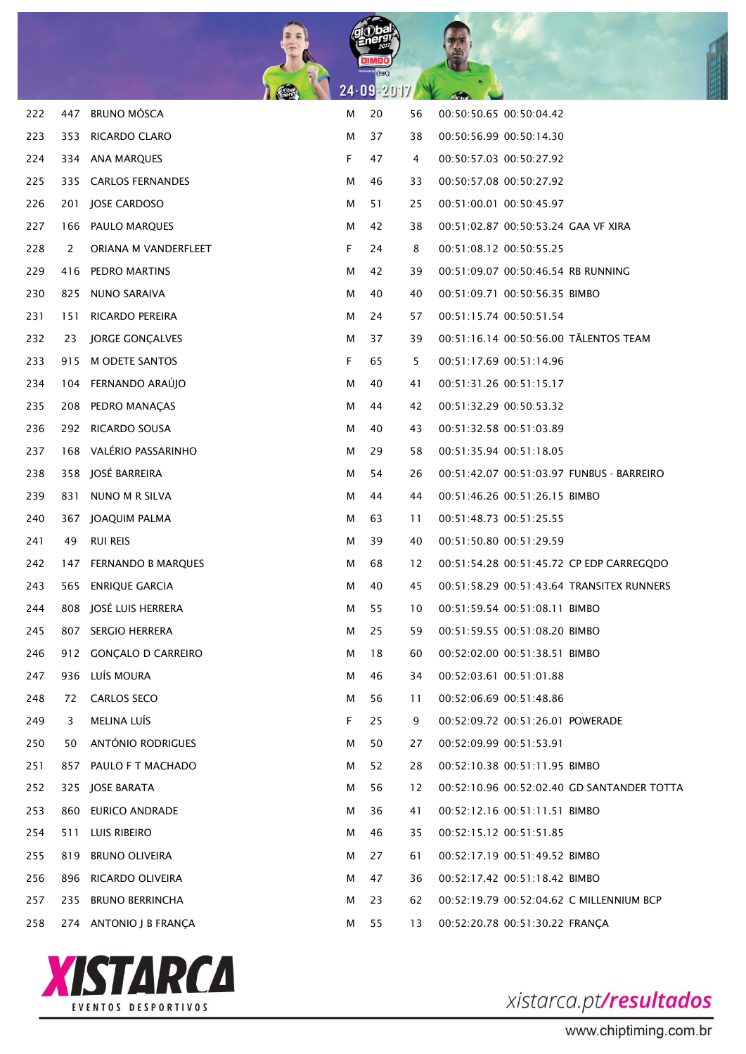

| 222 | 447 | <b>BRUNO MOSCA</b>     | М | 20 | 56 | 00:50:50.65 00:50:04.42                    |
|-----|-----|------------------------|---|----|----|--------------------------------------------|
| 223 |     | 353 RICARDO CLARO      | М | 37 | 38 | 00:50:56.99 00:50:14.30                    |
| 224 |     | 334 ANA MARQUES        | F | 47 | 4  | 00:50:57.03 00:50:27.92                    |
| 225 |     | 335 CARLOS FERNANDES   | М | 46 | 33 | 00:50:57.08 00:50:27.92                    |
| 226 |     | 201 JOSE CARDOSO       | М | 51 | 25 | 00:51:00.01 00:50:45.97                    |
| 227 |     | 166 PAULO MARQUES      | м | 42 | 38 | 00:51:02.87 00:50:53.24 GAA VF XIRA        |
| 228 | 2   | ORIANA M VANDERFLEET   | F | 24 | 8  | 00:51:08.12 00:50:55.25                    |
| 229 |     | 416 PEDRO MARTINS      | м | 42 | 39 | 00:51:09.07 00:50:46.54 RB RUNNING         |
| 230 | 825 | NUNO SARAIVA           | М | 40 | 40 | 00:51:09.71 00:50:56.35 BIMBO              |
| 231 | 151 | RICARDO PEREIRA        | м | 24 | 57 | 00:51:15.74 00:50:51.54                    |
| 232 | 23  | JORGE GONÇALVES        | м | 37 | 39 | 00:51:16.14 00:50:56.00 TALENTOS TEAM      |
| 233 |     | 915 M ODETE SANTOS     | F | 65 | 5  | 00:51:17.69 00:51:14.96                    |
| 234 |     | 104 FERNANDO ARAÚJO    | М | 40 | 41 | 00:51:31.26 00:51:15.17                    |
| 235 |     | 208 PEDRO MANACAS      | м | 44 | 42 | 00:51:32.29 00:50:53.32                    |
| 236 |     | 292 RICARDO SOUSA      | М | 40 | 43 | 00:51:32.58 00:51:03.89                    |
| 237 |     | 168 VALÉRIO PASSARINHO | м | 29 | 58 | 00:51:35.94 00:51:18.05                    |
| 238 |     | 358 JOSÉ BARREIRA      | м | 54 | 26 | 00:51:42.07 00:51:03.97 FUNBUS - BARREIRO  |
| 239 |     | 831 NUNO M R SILVA     | м | 44 | 44 | 00:51:46.26 00:51:26.15 BIMBO              |
| 240 |     | 367 JOAQUIM PALMA      | м | 63 | 11 | 00:51:48.73 00:51:25.55                    |
| 241 | 49  | <b>RUI REIS</b>        | м | 39 | 40 | 00:51:50.80 00:51:29.59                    |
| 242 |     | 147 FERNANDO B MARQUES | М | 68 | 12 | 00:51:54.28 00:51:45.72 CP EDP CARREGQDO   |
| 243 |     | 565 ENRIQUE GARCIA     | м | 40 | 45 | 00:51:58.29 00:51:43.64 TRANSITEX RUNNERS  |
| 244 |     | 808 JOSÉ LUIS HERRERA  | М | 55 | 10 | 00:51:59.54 00:51:08.11 BIMBO              |
| 245 |     | 807 SERGIO HERRERA     | м | 25 | 59 | 00:51:59.55 00:51:08.20 BIMBO              |
| 246 |     | 912 GONCALO D CARREIRO | м | 18 | 60 | 00:52:02.00 00:51:38.51 BIMBO              |
| 247 | 936 | LUÍS MOURA             | М | 46 | 34 | 00:52:03.61 00:51:01.88                    |
| 248 | 72  | <b>CARLOS SECO</b>     | М | 56 | 11 | 00:52:06.69 00:51:48.86                    |
| 249 | 3   | MELINA LUÍS            | F | 25 | 9  | 00:52:09.72 00:51:26.01 POWERADE           |
| 250 | 50  | ANTÓNIO RODRIGUES      | М | 50 | 27 | 00:52:09.99 00:51:53.91                    |
| 251 | 857 | PAULO F T MACHADO      | М | 52 | 28 | 00:52:10.38 00:51:11.95 BIMBO              |
| 252 |     | 325 JOSE BARATA        | м | 56 | 12 | 00:52:10.96 00:52:02.40 GD SANTANDER TOTTA |
| 253 | 860 | EURICO ANDRADE         | М | 36 | 41 | 00:52:12.16 00:51:11.51 BIMBO              |
| 254 | 511 | LUIS RIBEIRO           | М | 46 | 35 | 00:52:15.12 00:51:51.85                    |
| 255 | 819 | <b>BRUNO OLIVEIRA</b>  | М | 27 | 61 | 00:52:17.19 00:51:49.52 BIMBO              |
| 256 | 896 | RICARDO OLIVEIRA       | М | 47 | 36 | 00:52:17.42 00:51:18.42 BIMBO              |
| 257 | 235 | <b>BRUNO BERRINCHA</b> | м | 23 | 62 | 00:52:19.79 00:52:04.62 C MILLENNIUM BCP   |
| 258 |     | 274 ANTONIO J B FRANÇA | м | 55 | 13 | 00:52:20.78 00:51:30.22 FRANÇA             |

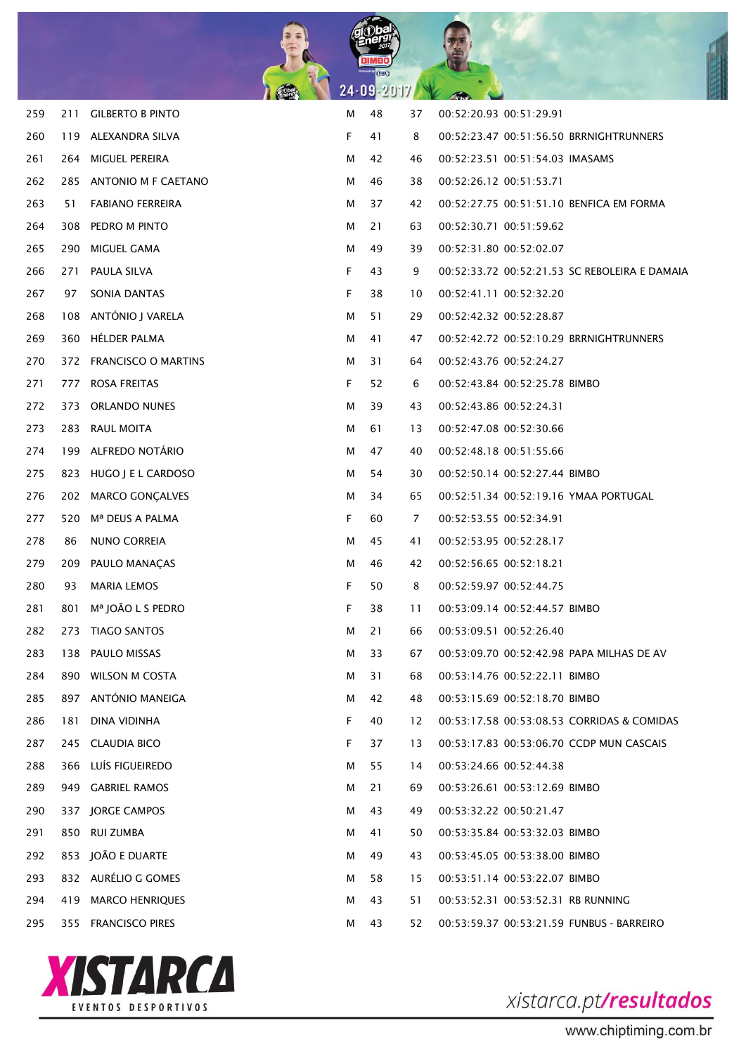

| 259 | 211 | <b>GILBERTO B PINTO</b> | м | 48 | 37 | 00:52:20.93 00:51:29.91                       |
|-----|-----|-------------------------|---|----|----|-----------------------------------------------|
| 260 | 119 | ALEXANDRA SILVA         | F | 41 | 8  | 00:52:23.47 00:51:56.50 BRRNIGHTRUNNERS       |
| 261 | 264 | MIGUEL PEREIRA          | м | 42 | 46 | 00:52:23.51 00:51:54.03 IMASAMS               |
| 262 | 285 | ANTONIO M F CAETANO     | м | 46 | 38 | 00:52:26.12 00:51:53.71                       |
| 263 | 51  | <b>FABIANO FERREIRA</b> | м | 37 | 42 | 00:52:27.75 00:51:51.10 BENFICA EM FORMA      |
| 264 | 308 | PEDRO M PINTO           | м | 21 | 63 | 00:52:30.71 00:51:59.62                       |
| 265 | 290 | MIGUEL GAMA             | м | 49 | 39 | 00:52:31.80 00:52:02.07                       |
| 266 | 271 | PAULA SILVA             | F | 43 | 9  | 00:52:33.72 00:52:21.53 SC REBOLEIRA E DAMAIA |
| 267 | 97  | SONIA DANTAS            | F | 38 | 10 | 00:52:41.11 00:52:32.20                       |
| 268 |     | 108 ANTÓNIO J VARELA    | м | 51 | 29 | 00:52:42.32 00:52:28.87                       |
| 269 |     | 360 HÉLDER PALMA        | м | 41 | 47 | 00:52:42.72 00:52:10.29 BRRNIGHTRUNNERS       |
| 270 |     | 372 FRANCISCO O MARTINS | м | 31 | 64 | 00:52:43.76 00:52:24.27                       |
| 271 | 777 | <b>ROSA FREITAS</b>     | F | 52 | 6  | 00:52:43.84 00:52:25.78 BIMBO                 |
| 272 | 373 | <b>ORLANDO NUNES</b>    | м | 39 | 43 | 00:52:43.86 00:52:24.31                       |
| 273 | 283 | RAUL MOITA              | м | 61 | 13 | 00:52:47.08 00:52:30.66                       |
| 274 | 199 | ALFREDO NOTÁRIO         | м | 47 | 40 | 00:52:48.18 00:51:55.66                       |
| 275 |     | 823 HUGO J E L CARDOSO  | м | 54 | 30 | 00:52:50.14 00:52:27.44 BIMBO                 |
| 276 | 202 | <b>MARCO GONCALVES</b>  | м | 34 | 65 | 00:52:51.34 00:52:19.16 YMAA PORTUGAL         |
| 277 | 520 | Mª DEUS A PALMA         | F | 60 | 7  | 00:52:53.55 00:52:34.91                       |
| 278 | 86  | NUNO CORREIA            | м | 45 | 41 | 00:52:53.95 00:52:28.17                       |
| 279 | 209 | PAULO MANAÇAS           | м | 46 | 42 | 00:52:56.65 00:52:18.21                       |
| 280 | 93  | <b>MARIA LEMOS</b>      | F | 50 | 8  | 00:52:59.97 00:52:44.75                       |
| 281 | 801 | Mª JOÃO L S PEDRO       | F | 38 | 11 | 00:53:09.14 00:52:44.57 BIMBO                 |
| 282 | 273 | <b>TIAGO SANTOS</b>     | м | 21 | 66 | 00:53:09.51 00:52:26.40                       |
| 283 |     | 138 PAULO MISSAS        | м | 33 | 67 | 00:53:09.70 00:52:42.98 PAPA MILHAS DE AV     |
| 284 |     | 890 WILSON M COSTA      | м | 31 | 68 | 00:53:14.76 00:52:22.11 BIMBO                 |
| 285 |     | 897 ANTÓNIO MANEIGA     | м | 42 | 48 | 00:53:15.69 00:52:18.70 BIMBO                 |
| 286 | 181 | DINA VIDINHA            | F | 40 | 12 | 00:53:17.58 00:53:08.53 CORRIDAS & COMIDAS    |
| 287 |     | 245 CLAUDIA BICO        | F | 37 | 13 | 00:53:17.83 00:53:06.70 CCDP MUN CASCAIS      |
| 288 |     | 366 LUÍS FIGUEIREDO     | м | 55 | 14 | 00:53:24.66 00:52:44.38                       |
| 289 |     | 949 GABRIEL RAMOS       | м | 21 | 69 | 00:53:26.61 00:53:12.69 BIMBO                 |
| 290 |     | 337 JORGE CAMPOS        | м | 43 | 49 | 00:53:32.22 00:50:21.47                       |
| 291 |     | 850 RUI ZUMBA           | м | 41 | 50 | 00:53:35.84 00:53:32.03 BIMBO                 |
| 292 |     | 853 JOÃO E DUARTE       | м | 49 | 43 | 00:53:45.05 00:53:38.00 BIMBO                 |
| 293 |     | 832 AURÉLIO G GOMES     | м | 58 | 15 | 00:53:51.14 00:53:22.07 BIMBO                 |
| 294 | 419 | <b>MARCO HENRIQUES</b>  | м | 43 | 51 | 00:53:52.31 00:53:52.31 RB RUNNING            |
| 295 |     | 355 FRANCISCO PIRES     | м | 43 | 52 | 00:53:59.37 00:53:21.59 FUNBUS - BARREIRO     |

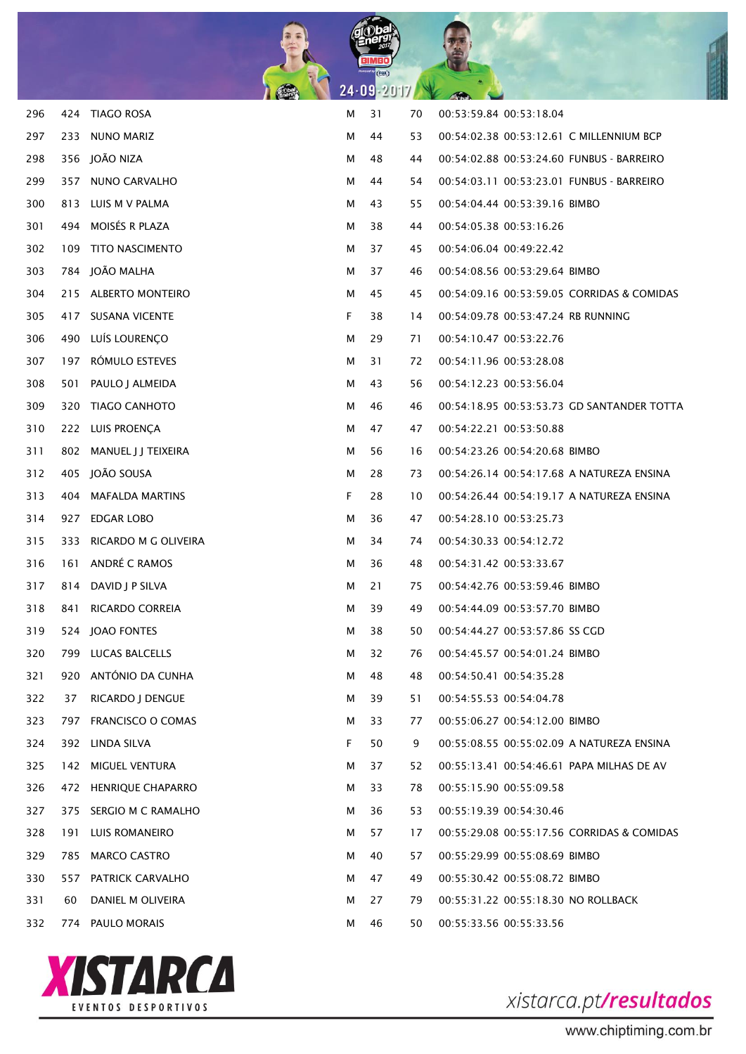

| 296 | 424 | <b>TIAGO ROSA</b>        | М | 31 | 70 | 00:53:59.84 00:53:18.04                    |
|-----|-----|--------------------------|---|----|----|--------------------------------------------|
| 297 | 233 | <b>NUNO MARIZ</b>        | М | 44 | 53 | 00:54:02.38 00:53:12.61 C MILLENNIUM BCP   |
| 298 |     | 356 JOÃO NIZA            | м | 48 | 44 | 00:54:02.88 00:53:24.60 FUNBUS - BARREIRO  |
| 299 | 357 | NUNO CARVALHO            | м | 44 | 54 | 00:54:03.11 00:53:23.01 FUNBUS - BARREIRO  |
| 300 | 813 | LUIS M V PALMA           | м | 43 | 55 | 00:54:04.44 00:53:39.16 BIMBO              |
| 301 | 494 | MOISÉS R PLAZA           | м | 38 | 44 | 00:54:05.38 00:53:16.26                    |
| 302 | 109 | <b>TITO NASCIMENTO</b>   | м | 37 | 45 | 00:54:06.04 00:49:22.42                    |
| 303 | 784 | JOÃO MALHA               | М | 37 | 46 | 00:54:08.56 00:53:29.64 BIMBO              |
| 304 |     | 215 ALBERTO MONTEIRO     | м | 45 | 45 | 00:54:09.16 00:53:59.05 CORRIDAS & COMIDAS |
| 305 | 417 | <b>SUSANA VICENTE</b>    | F | 38 | 14 | 00:54:09.78 00:53:47.24 RB RUNNING         |
| 306 | 490 | LUÍS LOURENÇO            | м | 29 | 71 | 00:54:10.47 00:53:22.76                    |
| 307 | 197 | RÓMULO ESTEVES           | м | 31 | 72 | 00:54:11.96 00:53:28.08                    |
| 308 | 501 | PAULO J ALMEIDA          | м | 43 | 56 | 00:54:12.23 00:53:56.04                    |
| 309 | 320 | <b>TIAGO CANHOTO</b>     | м | 46 | 46 | 00:54:18.95 00:53:53.73 GD SANTANDER TOTTA |
| 310 |     | 222 LUIS PROENÇA         | м | 47 | 47 | 00:54:22.21 00:53:50.88                    |
| 311 | 802 | MANUEL J J TEIXEIRA      | м | 56 | 16 | 00:54:23.26 00:54:20.68 BIMBO              |
| 312 | 405 | JOÃO SOUSA               | м | 28 | 73 | 00:54:26.14 00:54:17.68 A NATUREZA ENSINA  |
| 313 | 404 | <b>MAFALDA MARTINS</b>   | F | 28 | 10 | 00:54:26.44 00:54:19.17 A NATUREZA ENSINA  |
| 314 | 927 | EDGAR LOBO               | м | 36 | 47 | 00:54:28.10 00:53:25.73                    |
| 315 | 333 | RICARDO M G OLIVEIRA     | м | 34 | 74 | 00:54:30.33 00:54:12.72                    |
| 316 | 161 | ANDRÉ C RAMOS            | м | 36 | 48 | 00:54:31.42 00:53:33.67                    |
| 317 | 814 | DAVID J P SILVA          | м | 21 | 75 | 00:54:42.76 00:53:59.46 BIMBO              |
| 318 | 841 | <b>RICARDO CORREIA</b>   | м | 39 | 49 | 00:54:44.09 00:53:57.70 BIMBO              |
| 319 | 524 | JOAO FONTES              | м | 38 | 50 | 00:54:44.27 00:53:57.86 SS CGD             |
| 320 |     | 799 LUCAS BALCELLS       | м | 32 | 76 | 00:54:45.57 00:54:01.24 BIMBO              |
| 321 |     | 920 ANTÓNIO DA CUNHA     | М | 48 | 48 | 00:54:50.41 00:54:35.28                    |
| 322 | 37  | RICARDO J DENGUE         | м | 39 | 51 | 00:54:55.53 00:54:04.78                    |
| 323 | 797 | <b>FRANCISCO O COMAS</b> | м | 33 | 77 | 00:55:06.27 00:54:12.00 BIMBO              |
| 324 |     | 392 LINDA SILVA          | F | 50 | 9  | 00:55:08.55 00:55:02.09 A NATUREZA ENSINA  |
| 325 | 142 | MIGUEL VENTURA           | м | 37 | 52 | 00:55:13.41 00:54:46.61 PAPA MILHAS DE AV  |
| 326 |     | 472 HENRIQUE CHAPARRO    | м | 33 | 78 | 00:55:15.90 00:55:09.58                    |
| 327 | 375 | SERGIO M C RAMALHO       | м | 36 | 53 | 00:55:19.39 00:54:30.46                    |
| 328 | 191 | LUIS ROMANEIRO           | м | 57 | 17 | 00:55:29.08 00:55:17.56 CORRIDAS & COMIDAS |
| 329 | 785 | <b>MARCO CASTRO</b>      | м | 40 | 57 | 00:55:29.99 00:55:08.69 BIMBO              |
| 330 | 557 | PATRICK CARVALHO         | м | 47 | 49 | 00:55:30.42 00:55:08.72 BIMBO              |
| 331 | 60  | DANIEL M OLIVEIRA        | м | 27 | 79 | 00:55:31.22 00:55:18.30 NO ROLLBACK        |
| 332 |     | 774 PAULO MORAIS         | м | 46 | 50 | 00:55:33.56 00:55:33.56                    |

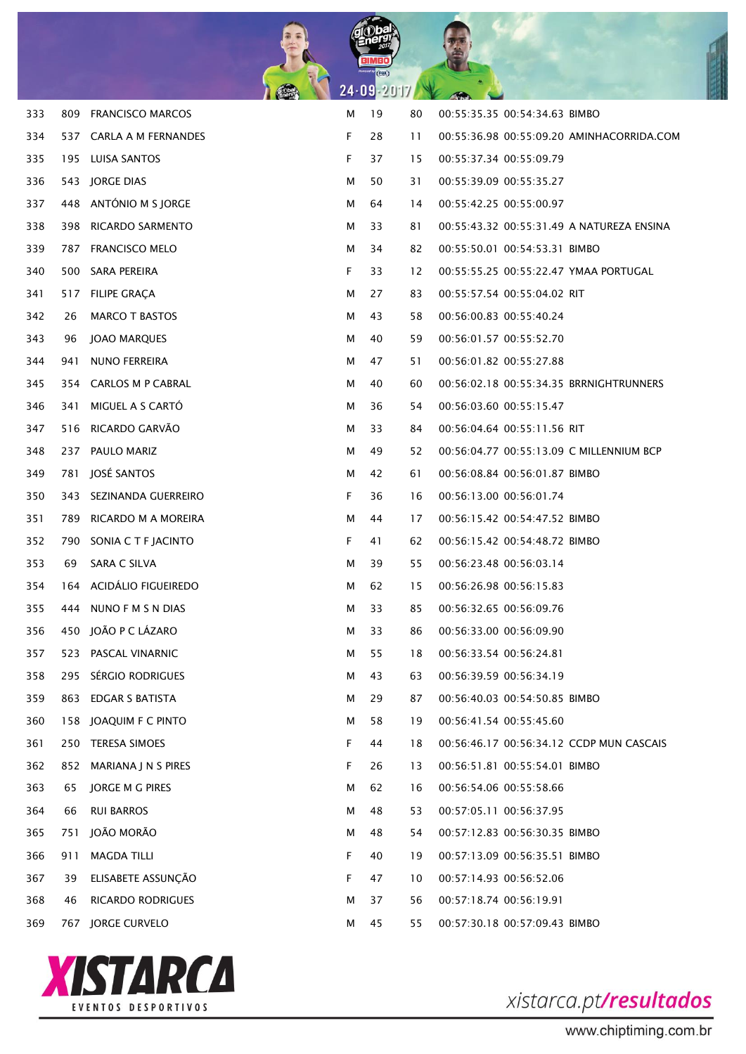

| 333 | 809 | <b>FRANCISCO MARCOS</b>  | м | 19 | 80 | 00:55:35.35 00:54:34.63 BIMBO             |
|-----|-----|--------------------------|---|----|----|-------------------------------------------|
| 334 |     | 537 CARLA A M FERNANDES  | F | 28 | 11 | 00:55:36.98 00:55:09.20 AMINHACORRIDA.COM |
| 335 |     | 195 LUISA SANTOS         | F | 37 | 15 | 00:55:37.34 00:55:09.79                   |
| 336 |     | 543 JORGE DIAS           | м | 50 | 31 | 00:55:39.09 00:55:35.27                   |
| 337 | 448 | ANTÓNIO M S JORGE        | м | 64 | 14 | 00:55:42.25 00:55:00.97                   |
| 338 | 398 | RICARDO SARMENTO         | м | 33 | 81 | 00:55:43.32 00:55:31.49 A NATUREZA ENSINA |
| 339 | 787 | <b>FRANCISCO MELO</b>    | м | 34 | 82 | 00:55:50.01 00:54:53.31 BIMBO             |
| 340 |     | 500 SARA PEREIRA         | F | 33 | 12 | 00:55:55.25 00:55:22.47 YMAA PORTUGAL     |
| 341 |     | 517 FILIPE GRACA         | м | 27 | 83 | 00:55:57.54 00:55:04.02 RIT               |
| 342 | 26  | <b>MARCO T BASTOS</b>    | м | 43 | 58 | 00:56:00.83 00:55:40.24                   |
| 343 | 96  | JOAO MARQUES             | м | 40 | 59 | 00:56:01.57 00:55:52.70                   |
| 344 | 941 | NUNO FERREIRA            | м | 47 | 51 | 00:56:01.82 00:55:27.88                   |
| 345 |     | 354 CARLOS M P CABRAL    | м | 40 | 60 | 00:56:02.18 00:55:34.35 BRRNIGHTRUNNERS   |
| 346 | 341 | MIGUEL A S CARTÓ         | м | 36 | 54 | 00:56:03.60 00:55:15.47                   |
| 347 | 516 | RICARDO GARVÃO           | м | 33 | 84 | 00:56:04.64 00:55:11.56 RIT               |
| 348 | 237 | PAULO MARIZ              | м | 49 | 52 | 00:56:04.77 00:55:13.09 C MILLENNIUM BCP  |
| 349 | 781 | JOSÉ SANTOS              | м | 42 | 61 | 00:56:08.84 00:56:01.87 BIMBO             |
| 350 |     | 343 SEZINANDA GUERREIRO  | F | 36 | 16 | 00:56:13.00 00:56:01.74                   |
| 351 |     | 789 RICARDO M A MOREIRA  | м | 44 | 17 | 00:56:15.42 00:54:47.52 BIMBO             |
| 352 |     | 790 SONIA C T F JACINTO  | F | 41 | 62 | 00:56:15.42 00:54:48.72 BIMBO             |
| 353 | 69  | SARA C SILVA             | м | 39 | 55 | 00:56:23.48 00:56:03.14                   |
| 354 |     | 164 ACIDÁLIO FIGUEIREDO  | м | 62 | 15 | 00:56:26.98 00:56:15.83                   |
| 355 |     | 444 NUNO F M S N DIAS    | м | 33 | 85 | 00:56:32.65 00:56:09.76                   |
| 356 |     | 450 JOÃO P C LÁZARO      | м | 33 | 86 | 00:56:33.00 00:56:09.90                   |
| 357 |     | 523 PASCAL VINARNIC      | м | 55 | 18 | 00:56:33.54 00:56:24.81                   |
| 358 |     | 295 SÉRGIO RODRIGUES     | м | 43 | 63 | 00:56:39.59 00:56:34.19                   |
| 359 | 863 | <b>EDGAR S BATISTA</b>   | м | 29 | 87 | 00:56:40.03 00:54:50.85 BIMBO             |
| 360 | 158 | JOAQUIM F C PINTO        | м | 58 | 19 | 00:56:41.54 00:55:45.60                   |
| 361 | 250 | <b>TERESA SIMOES</b>     | F | 44 | 18 | 00:56:46.17 00:56:34.12 CCDP MUN CASCAIS  |
| 362 | 852 | MARIANA J N S PIRES      | F | 26 | 13 | 00:56:51.81 00:55:54.01 BIMBO             |
| 363 | 65  | JORGE M G PIRES          | м | 62 | 16 | 00:56:54.06 00:55:58.66                   |
| 364 | 66  | <b>RUI BARROS</b>        | м | 48 | 53 | 00:57:05.11 00:56:37.95                   |
| 365 | 751 | JOÃO MORÃO               | м | 48 | 54 | 00:57:12.83 00:56:30.35 BIMBO             |
| 366 | 911 | <b>MAGDA TILLI</b>       | F | 40 | 19 | 00:57:13.09 00:56:35.51 BIMBO             |
| 367 | 39  | ELISABETE ASSUNÇÃO       | F | 47 | 10 | 00:57:14.93 00:56:52.06                   |
| 368 | 46  | <b>RICARDO RODRIGUES</b> | м | 37 | 56 | 00:57:18.74 00:56:19.91                   |
| 369 | 767 | <b>JORGE CURVELO</b>     | м | 45 | 55 | 00:57:30.18 00:57:09.43 BIMBO             |

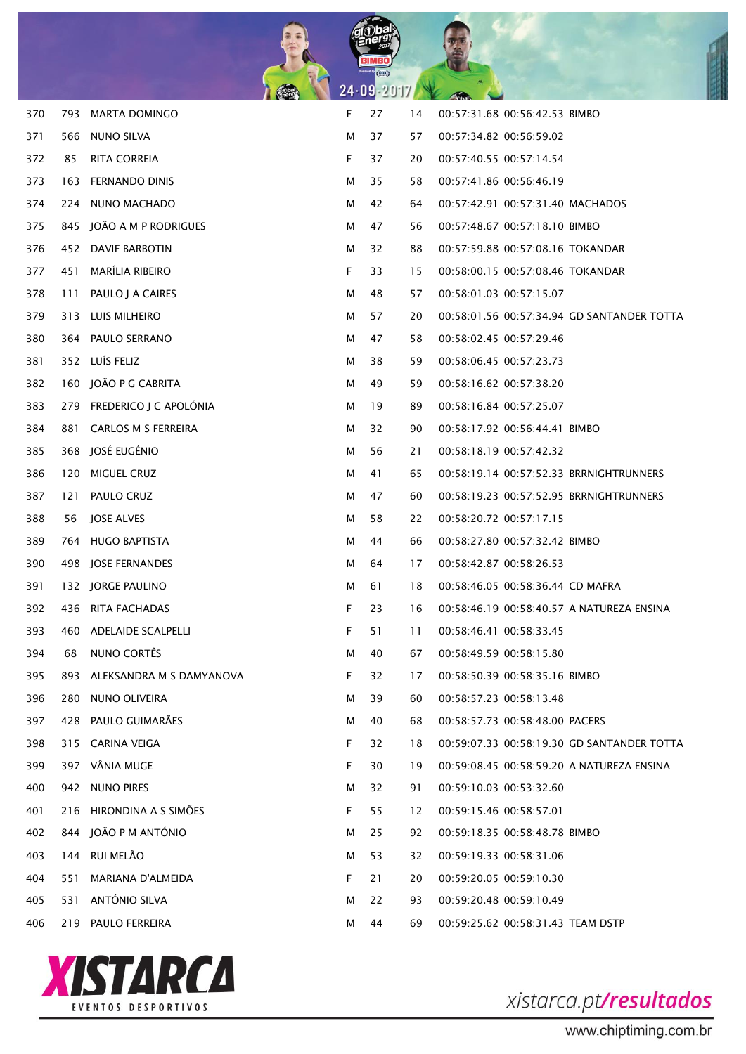

| 370 | 793 | <b>MARTA DOMINGO</b>         | F | 27 | 14 | 00:57:31.68 00:56:42.53 BIMBO              |
|-----|-----|------------------------------|---|----|----|--------------------------------------------|
| 371 | 566 | NUNO SILVA                   | м | 37 | 57 | 00:57:34.82 00:56:59.02                    |
| 372 | 85  | RITA CORREIA                 | F | 37 | 20 | 00:57:40.55 00:57:14.54                    |
| 373 | 163 | FERNANDO DINIS               | м | 35 | 58 | 00:57:41.86 00:56:46.19                    |
| 374 | 224 | NUNO MACHADO                 | м | 42 | 64 | 00:57:42.91 00:57:31.40 MACHADOS           |
| 375 |     | 845 JOÃO A M P RODRIGUES     | м | 47 | 56 | 00:57:48.67 00:57:18.10 BIMBO              |
| 376 |     | 452 DAVIF BARBOTIN           | м | 32 | 88 | 00:57:59.88 00:57:08.16 TOKANDAR           |
| 377 | 451 | MARÍLIA RIBEIRO              | F | 33 | 15 | 00:58:00.15 00:57:08.46 TOKANDAR           |
| 378 | 111 | PAULO J A CAIRES             | м | 48 | 57 | 00:58:01.03 00:57:15.07                    |
| 379 | 313 | LUIS MILHEIRO                | м | 57 | 20 | 00:58:01.56 00:57:34.94 GD SANTANDER TOTTA |
| 380 |     | 364 PAULO SERRANO            | м | 47 | 58 | 00:58:02.45 00:57:29.46                    |
| 381 |     | 352 LUÍS FELIZ               | м | 38 | 59 | 00:58:06.45 00:57:23.73                    |
| 382 |     | 160 JOÃO P G CABRITA         | м | 49 | 59 | 00:58:16.62 00:57:38.20                    |
| 383 |     | 279 FREDERICO J C APOLÓNIA   | м | 19 | 89 | 00:58:16.84 00:57:25.07                    |
| 384 |     | 881 CARLOS M S FERREIRA      | м | 32 | 90 | 00:58:17.92 00:56:44.41 BIMBO              |
| 385 |     | 368 JOSÉ EUGÉNIO             | м | 56 | 21 | 00:58:18.19 00:57:42.32                    |
| 386 |     | 120 MIGUEL CRUZ              | м | 41 | 65 | 00:58:19.14 00:57:52.33 BRRNIGHTRUNNERS    |
| 387 |     | 121 PAULO CRUZ               | м | 47 | 60 | 00:58:19.23 00:57:52.95 BRRNIGHTRUNNERS    |
| 388 | 56  | JOSE ALVES                   | м | 58 | 22 | 00:58:20.72 00:57:17.15                    |
| 389 |     | 764 HUGO BAPTISTA            | М | 44 | 66 | 00:58:27.80 00:57:32.42 BIMBO              |
| 390 |     | 498 JOSE FERNANDES           | м | 64 | 17 | 00:58:42.87 00:58:26.53                    |
| 391 |     | 132 JORGE PAULINO            | М | 61 | 18 | 00:58:46.05 00:58:36.44 CD MAFRA           |
| 392 |     | 436 RITA FACHADAS            | F | 23 | 16 | 00:58:46.19 00:58:40.57 A NATUREZA ENSINA  |
| 393 |     | 460 ADELAIDE SCALPELLI       | F | 51 | 11 | 00:58:46.41 00:58:33.45                    |
| 394 | 68  | NUNO CORTÊS                  | М | 40 | 67 | 00:58:49.59 00:58:15.80                    |
| 395 |     | 893 ALEKSANDRA M S DAMYANOVA | F | 32 | 17 | 00:58:50.39 00:58:35.16 BIMBO              |
| 396 | 280 | NUNO OLIVEIRA                | М | 39 | 60 | 00:58:57.23 00:58:13.48                    |
| 397 |     | 428 PAULO GUIMARÃES          | М | 40 | 68 | 00:58:57.73 00:58:48.00 PACERS             |
| 398 |     | 315 CARINA VEIGA             | F | 32 | 18 | 00:59:07.33 00:58:19.30 GD SANTANDER TOTTA |
| 399 |     | 397 VÂNIA MUGE               | F | 30 | 19 | 00:59:08.45 00:58:59.20 A NATUREZA ENSINA  |
| 400 |     | 942 NUNO PIRES               | М | 32 | 91 | 00:59:10.03 00:53:32.60                    |
| 401 | 216 | HIRONDINA A S SIMÕES         | F | 55 | 12 | 00:59:15.46 00:58:57.01                    |
| 402 |     | 844 JOÃO P M ANTÓNIO         | М | 25 | 92 | 00:59:18.35 00:58:48.78 BIMBO              |
| 403 |     | 144 RUI MELÃO                | м | 53 | 32 | 00:59:19.33 00:58:31.06                    |
| 404 | 551 | MARIANA D'ALMEIDA            | F | 21 | 20 | 00:59:20.05 00:59:10.30                    |
| 405 | 531 | ANTÓNIO SILVA                | м | 22 | 93 | 00:59:20.48 00:59:10.49                    |
| 406 | 219 | PAULO FERREIRA               | М | 44 | 69 | 00:59:25.62 00:58:31.43 TEAM DSTP          |

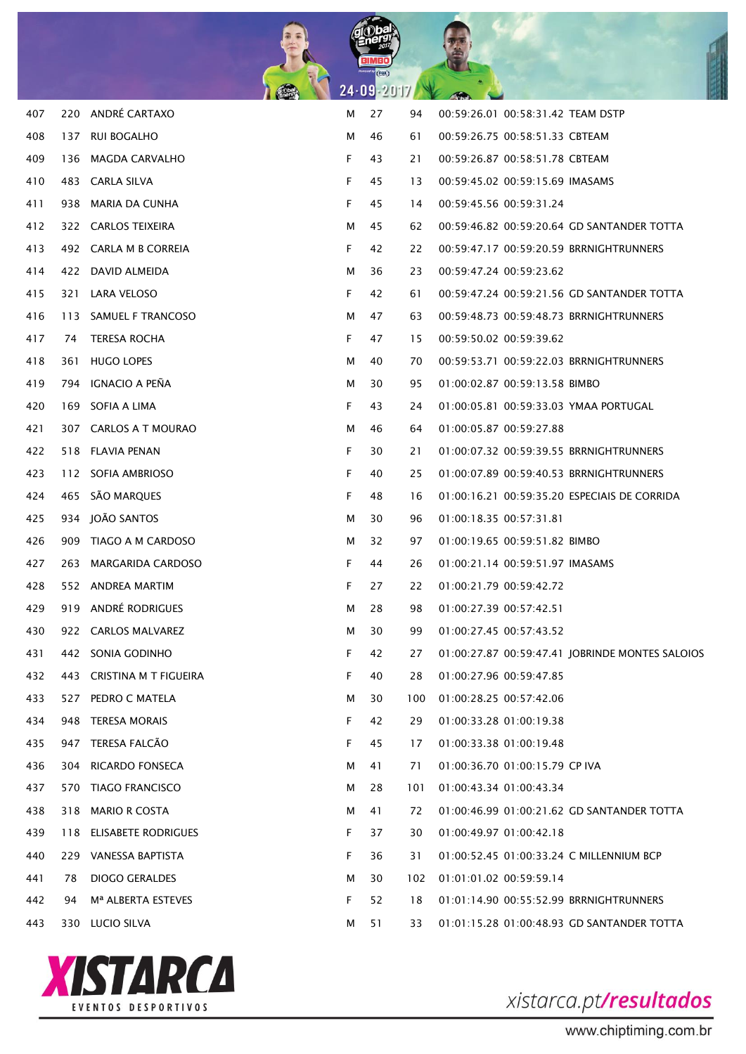

| 407 |     | 220 ANDRÉ CARTAXO              | м  | 27 | 94  | 00:59:26.01 00:58:31.42 TEAM DSTP               |
|-----|-----|--------------------------------|----|----|-----|-------------------------------------------------|
| 408 | 137 | RUI BOGALHO                    | м  | 46 | 61  | 00:59:26.75 00:58:51.33 CBTEAM                  |
| 409 |     | 136 MAGDA CARVALHO             | F  | 43 | 21  | 00:59:26.87 00:58:51.78 CBTEAM                  |
| 410 |     | 483 CARLA SILVA                | F  | 45 | 13  | 00:59:45.02 00:59:15.69 IMASAMS                 |
| 411 |     | 938 MARIA DA CUNHA             | F  | 45 | 14  | 00:59:45.56 00:59:31.24                         |
| 412 |     | 322 CARLOS TEIXEIRA            | м  | 45 | 62  | 00:59:46.82 00:59:20.64 GD SANTANDER TOTTA      |
| 413 |     | 492 CARLA M B CORREIA          | F  | 42 | 22  | 00:59:47.17 00:59:20.59 BRRNIGHTRUNNERS         |
| 414 |     | 422 DAVID ALMEIDA              | м  | 36 | 23  | 00:59:47.24 00:59:23.62                         |
| 415 |     | 321 LARA VELOSO                | F. | 42 | 61  | 00:59:47.24 00:59:21.56 GD SANTANDER TOTTA      |
| 416 |     | 113 SAMUEL F TRANCOSO          | м  | 47 | 63  | 00:59:48.73 00:59:48.73 BRRNIGHTRUNNERS         |
| 417 | 74  | TERESA ROCHA                   | F. | 47 | 15  | 00:59:50.02 00:59:39.62                         |
| 418 | 361 | <b>HUGO LOPES</b>              | м  | 40 | 70  | 00:59:53.71 00:59:22.03 BRRNIGHTRUNNERS         |
| 419 |     | 794 IGNACIO A PENA             | м  | 30 | 95  | 01:00:02.87 00:59:13.58 BIMBO                   |
| 420 |     | 169 SOFIA A LIMA               | F  | 43 | 24  | 01:00:05.81 00:59:33.03 YMAA PORTUGAL           |
| 421 |     | 307 CARLOS A T MOURAO          | м  | 46 | 64  | 01:00:05.87 00:59:27.88                         |
| 422 |     | 518 FLAVIA PENAN               | F  | 30 | 21  | 01:00:07.32 00:59:39.55 BRRNIGHTRUNNERS         |
| 423 |     | 112 SOFIA AMBRIOSO             | F  | 40 | 25  | 01:00:07.89 00:59:40.53 BRRNIGHTRUNNERS         |
| 424 |     | 465 SÃO MARQUES                | F  | 48 | 16  | 01:00:16.21 00:59:35.20 ESPECIAIS DE CORRIDA    |
| 425 |     | 934 JOÃO SANTOS                | м  | 30 | 96  | 01:00:18.35 00:57:31.81                         |
| 426 |     | 909 TIAGO A M CARDOSO          | м  | 32 | 97  | 01:00:19.65 00:59:51.82 BIMBO                   |
| 427 |     | 263 MARGARIDA CARDOSO          | F. | 44 | 26  | 01:00:21.14 00:59:51.97 IMASAMS                 |
| 428 |     | 552 ANDREA MARTIM              | F  | 27 | 22  | 01:00:21.79 00:59:42.72                         |
| 429 |     | 919 ANDRÉ RODRIGUES            | м  | 28 | 98  | 01:00:27.39 00:57:42.51                         |
| 430 |     | 922 CARLOS MALVAREZ            | м  | 30 | 99  | 01:00:27.45 00:57:43.52                         |
| 431 |     | 442 SONIA GODINHO              | F. | 42 | 27  | 01:00:27.87 00:59:47.41 JOBRINDE MONTES SALOIOS |
| 432 | 443 | <b>CRISTINA M T FIGUEIRA</b>   | F  | 40 | 28  | 01:00:27.96 00:59:47.85                         |
| 433 | 527 | PEDRO C MATELA                 | М  | 30 | 100 | 01:00:28.25 00:57:42.06                         |
| 434 |     | 948 TERESA MORAIS              | F  | 42 | 29  | 01:00:33.28 01:00:19.38                         |
| 435 | 947 | TERESA FALCÃO                  | F  | 45 | 17  | 01:00:33.38 01:00:19.48                         |
| 436 | 304 | <b>RICARDO FONSECA</b>         | м  | 41 | 71  | 01:00:36.70 01:00:15.79 CP IVA                  |
| 437 |     | 570 TIAGO FRANCISCO            | м  | 28 | 101 | 01:00:43.34 01:00:43.34                         |
| 438 | 318 | <b>MARIO R COSTA</b>           | м  | 41 | 72  | 01:00:46.99 01:00:21.62 GD SANTANDER TOTTA      |
| 439 | 118 | ELISABETE RODRIGUES            | F  | 37 | 30  | 01:00:49.97 01:00:42.18                         |
| 440 |     | 229 VANESSA BAPTISTA           | F  | 36 | 31  | 01:00:52.45 01:00:33.24 C MILLENNIUM BCP        |
| 441 | 78  | <b>DIOGO GERALDES</b>          | м  | 30 | 102 | 01:01:01.02 00:59:59.14                         |
| 442 | 94  | M <sup>a</sup> ALBERTA ESTEVES | F  | 52 | 18  | 01:01:14.90 00:55:52.99 BRRNIGHTRUNNERS         |
| 443 |     | 330 LUCIO SILVA                | м  | 51 | 33  | 01:01:15.28 01:00:48.93 GD SANTANDER TOTTA      |
|     |     |                                |    |    |     |                                                 |

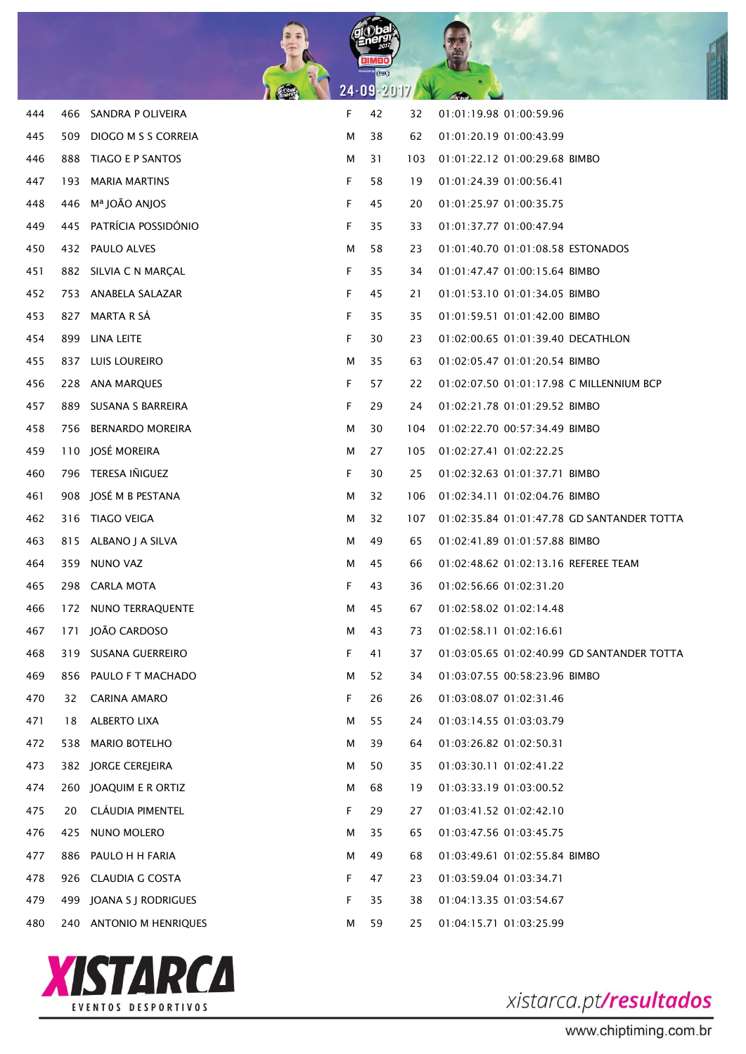

| 444 | 466 | SANDRA P OLIVEIRA       | F | 42 | 32  | 01:01:19.98 01:00:59.96                    |
|-----|-----|-------------------------|---|----|-----|--------------------------------------------|
| 445 | 509 | DIOGO M S S CORREIA     | м | 38 | 62  | 01:01:20.19 01:00:43.99                    |
| 446 | 888 | TIAGO E P SANTOS        | м | 31 | 103 | 01:01:22.12 01:00:29.68 BIMBO              |
| 447 | 193 | <b>MARIA MARTINS</b>    | F | 58 | 19  | 01:01:24.39 01:00:56.41                    |
| 448 | 446 | Mª JOÃO ANJOS           | F | 45 | 20  | 01:01:25.97 01:00:35.75                    |
| 449 | 445 | PATRÍCIA POSSIDÓNIO     | F | 35 | 33  | 01:01:37.77 01:00:47.94                    |
| 450 |     | 432 PAULO ALVES         | м | 58 | 23  | 01:01:40.70 01:01:08.58 ESTONADOS          |
| 451 |     | 882 SILVIA C N MARCAL   | F | 35 | 34  | 01:01:47.47 01:00:15.64 BIMBO              |
| 452 |     | 753 ANABELA SALAZAR     | F | 45 | 21  | 01:01:53.10 01:01:34.05 BIMBO              |
| 453 | 827 | MARTA R SÁ              | F | 35 | 35  | 01:01:59.51 01:01:42.00 BIMBO              |
| 454 | 899 | LINA LEITE              | F | 30 | 23  | 01:02:00.65 01:01:39.40 DECATHLON          |
| 455 |     | 837 LUIS LOUREIRO       | м | 35 | 63  | 01:02:05.47 01:01:20.54 BIMBO              |
| 456 | 228 | ANA MARQUES             | F | 57 | 22  | 01:02:07.50 01:01:17.98 C MILLENNIUM BCP   |
| 457 | 889 | SUSANA S BARREIRA       | F | 29 | 24  | 01:02:21.78 01:01:29.52 BIMBO              |
| 458 | 756 | <b>BERNARDO MOREIRA</b> | м | 30 | 104 | 01:02:22.70 00:57:34.49 BIMBO              |
| 459 | 110 | JOSÉ MOREIRA            | м | 27 | 105 | 01:02:27.41 01:02:22.25                    |
| 460 | 796 | TERESA IÑIGUEZ          | F | 30 | 25  | 01:02:32.63 01:01:37.71 BIMBO              |
| 461 | 908 | JOSÉ M B PESTANA        | м | 32 | 106 | 01:02:34.11 01:02:04.76 BIMBO              |
| 462 | 316 | TIAGO VEIGA             | м | 32 | 107 | 01:02:35.84 01:01:47.78 GD SANTANDER TOTTA |
| 463 |     | 815 ALBANO J A SILVA    | м | 49 | 65  | 01:02:41.89 01:01:57.88 BIMBO              |
| 464 | 359 | NUNO VAZ                | м | 45 | 66  | 01:02:48.62 01:02:13.16 REFEREE TEAM       |
| 465 | 298 | <b>CARLA MOTA</b>       | F | 43 | 36  | 01:02:56.66 01:02:31.20                    |
| 466 | 172 | NUNO TERRAQUENTE        | M | 45 | 67  | 01:02:58.02 01:02:14.48                    |
| 467 | 171 | JOÃO CARDOSO            | м | 43 | 73  | 01:02:58.11 01:02:16.61                    |
| 468 |     | 319 SUSANA GUERREIRO    | F | 41 | 37  | 01:03:05.65 01:02:40.99 GD SANTANDER TOTTA |
| 469 | 856 | PAULO F T MACHADO       | М | 52 | 34  | 01:03:07.55 00:58:23.96 BIMBO              |
| 470 | 32  | <b>CARINA AMARO</b>     | F | 26 | 26  | 01:03:08.07 01:02:31.46                    |
| 471 | 18  | <b>ALBERTO LIXA</b>     | М | 55 | 24  | 01:03:14.55 01:03:03.79                    |
| 472 | 538 | <b>MARIO BOTELHO</b>    | M | 39 | 64  | 01:03:26.82 01:02:50.31                    |
| 473 | 382 | <b>JORGE CEREJEIRA</b>  | М | 50 | 35  | 01:03:30.11 01:02:41.22                    |
| 474 | 260 | JOAQUIM E R ORTIZ       | M | 68 | 19  | 01:03:33.19 01:03:00.52                    |
| 475 | 20  | CLÁUDIA PIMENTEL        | F | 29 | 27  | 01:03:41.52 01:02:42.10                    |
| 476 | 425 | NUNO MOLERO             | M | 35 | 65  | 01:03:47.56 01:03:45.75                    |
| 477 | 886 | PAULO H H FARIA         | M | 49 | 68  | 01:03:49.61 01:02:55.84 BIMBO              |
| 478 | 926 | <b>CLAUDIA G COSTA</b>  | F | 47 | 23  | 01:03:59.04 01:03:34.71                    |
| 479 | 499 | JOANA S J RODRIGUES     | F | 35 | 38  | 01:04:13.35 01:03:54.67                    |
| 480 |     | 240 ANTONIO M HENRIQUES | М | 59 | 25  | 01:04:15.71 01:03:25.99                    |
|     |     |                         |   |    |     |                                            |

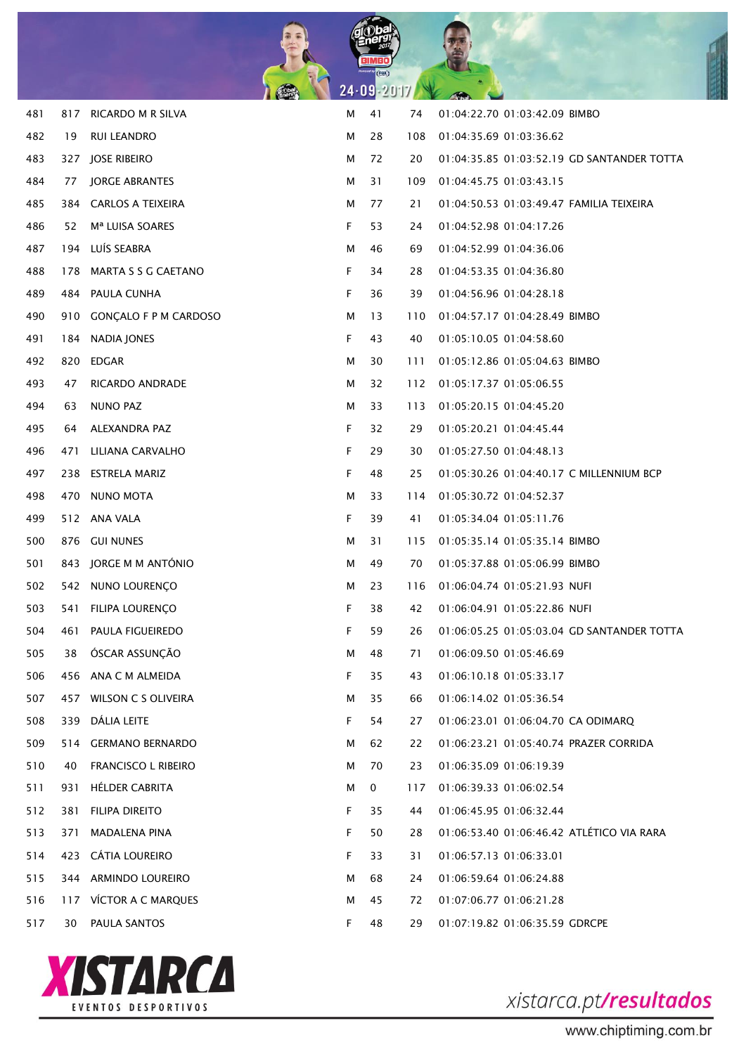

| 481 |     | 817 RICARDO M R SILVA       | М | 41 | 74  | 01:04:22.70 01:03:42.09 BIMBO              |
|-----|-----|-----------------------------|---|----|-----|--------------------------------------------|
| 482 | 19  | <b>RUI LEANDRO</b>          | м | 28 | 108 | 01:04:35.69 01:03:36.62                    |
| 483 |     | 327 JOSE RIBEIRO            | м | 72 | 20  | 01:04:35.85 01:03:52.19 GD SANTANDER TOTTA |
| 484 | 77  | <b>JORGE ABRANTES</b>       | м | 31 | 109 | 01:04:45.75 01:03:43.15                    |
| 485 |     | 384 CARLOS A TEIXEIRA       | м | 77 | 21  | 01:04:50.53 01:03:49.47 FAMILIA TEIXEIRA   |
| 486 | 52  | M <sup>a</sup> LUISA SOARES | F | 53 | 24  | 01:04:52.98 01:04:17.26                    |
| 487 | 194 | LUÍS SEABRA                 | м | 46 | 69  | 01:04:52.99 01:04:36.06                    |
| 488 | 178 | MARTA S S G CAETANO         | F | 34 | 28  | 01:04:53.35 01:04:36.80                    |
| 489 |     | 484 PAULA CUNHA             | F | 36 | 39  | 01:04:56.96 01:04:28.18                    |
| 490 |     | 910 GONÇALO F P M CARDOSO   | М | 13 | 110 | 01:04:57.17 01:04:28.49 BIMBO              |
| 491 | 184 | NADIA JONES                 | F | 43 | 40  | 01:05:10.05 01:04:58.60                    |
| 492 | 820 | <b>EDGAR</b>                | М | 30 | 111 | 01:05:12.86 01:05:04.63 BIMBO              |
| 493 | 47  | RICARDO ANDRADE             | М | 32 | 112 | 01:05:17.37 01:05:06.55                    |
| 494 | 63  | <b>NUNO PAZ</b>             | М | 33 | 113 | 01:05:20.15 01:04:45.20                    |
| 495 | 64  | ALEXANDRA PAZ               | F | 32 | 29  | 01:05:20.21 01:04:45.44                    |
| 496 | 471 | LILIANA CARVALHO            | F | 29 | 30  | 01:05:27.50 01:04:48.13                    |
| 497 | 238 | <b>ESTRELA MARIZ</b>        | F | 48 | 25  | 01:05:30.26 01:04:40.17 C MILLENNIUM BCP   |
| 498 | 470 | <b>NUNO MOTA</b>            | М | 33 | 114 | 01:05:30.72 01:04:52.37                    |
| 499 |     | 512 ANA VALA                | F | 39 | 41  | 01:05:34.04 01:05:11.76                    |
| 500 |     | 876 GUI NUNES               | М | 31 | 115 | 01:05:35.14 01:05:35.14 BIMBO              |
| 501 |     | 843 JORGE M M ANTÓNIO       | М | 49 | 70  | 01:05:37.88 01:05:06.99 BIMBO              |
| 502 | 542 | NUNO LOURENÇO               | М | 23 | 116 | 01:06:04.74 01:05:21.93 NUFI               |
| 503 | 541 | FILIPA LOURENÇO             | F | 38 | 42  | 01:06:04.91 01:05:22.86 NUFI               |
| 504 | 461 | PAULA FIGUEIREDO            | F | 59 | 26  | 01:06:05.25 01:05:03.04 GD SANTANDER TOTTA |
| 505 | 38  | ÓSCAR ASSUNÇÃO              | М | 48 | 71  | 01:06:09.50 01:05:46.69                    |
| 506 |     | 456 ANA C M ALMEIDA         | F | 35 | 43  | 01:06:10.18 01:05:33.17                    |
| 507 | 457 | WILSON C S OLIVEIRA         | M | 35 | 66  | 01:06:14.02 01:05:36.54                    |
| 508 | 339 | DÁLIA LEITE                 | F | 54 | 27  | 01:06:23.01 01:06:04.70 CA ODIMARQ         |
| 509 | 514 | <b>GERMANO BERNARDO</b>     | M | 62 | 22  | 01:06:23.21 01:05:40.74 PRAZER CORRIDA     |
| 510 | 40  | <b>FRANCISCO L RIBEIRO</b>  | М | 70 | 23  | 01:06:35.09 01:06:19.39                    |
| 511 | 931 | <b>HÉLDER CABRITA</b>       | М | 0  | 117 | 01:06:39.33 01:06:02.54                    |
| 512 | 381 | FILIPA DIREITO              | F | 35 | 44  | 01:06:45.95 01:06:32.44                    |
| 513 | 371 | <b>MADALENA PINA</b>        | F | 50 | 28  | 01:06:53.40 01:06:46.42 ATLÉTICO VIA RARA  |
| 514 |     | 423 CÁTIA LOUREIRO          | F | 33 | 31  | 01:06:57.13 01:06:33.01                    |
| 515 |     | 344 ARMINDO LOUREIRO        | M | 68 | 24  | 01:06:59.64 01:06:24.88                    |
| 516 |     | 117 VICTOR A C MARQUES      | М | 45 | 72  | 01:07:06.77 01:06:21.28                    |
| 517 | 30  | PAULA SANTOS                | F | 48 | 29  | 01:07:19.82 01:06:35.59 GDRCPE             |

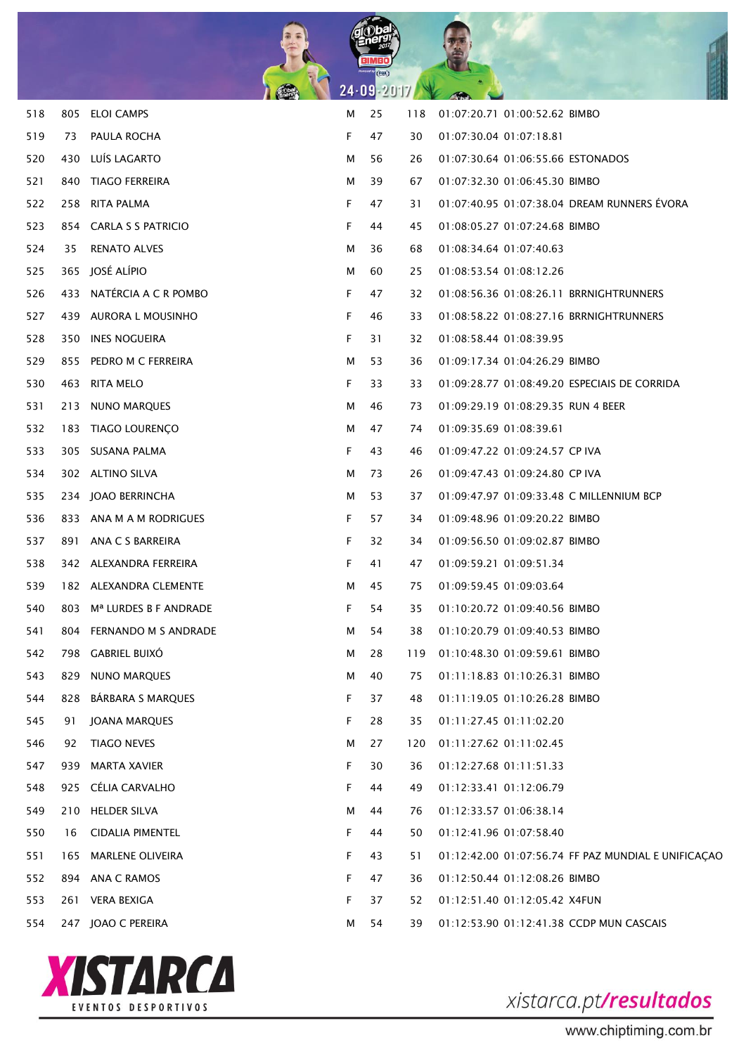

| 518 |     | 805 ELOI CAMPS                        | м | 25 | 118 | 01:07:20.71 01:00:52.62 BIMBO                       |
|-----|-----|---------------------------------------|---|----|-----|-----------------------------------------------------|
| 519 | 73  | PAULA ROCHA                           | F | 47 | 30  | 01:07:30.04 01:07:18.81                             |
| 520 |     | 430 LUÍS LAGARTO                      | М | 56 | 26  | 01:07:30.64 01:06:55.66 ESTONADOS                   |
| 521 |     | 840 TIAGO FERREIRA                    | м | 39 | 67  | 01:07:32.30 01:06:45.30 BIMBO                       |
| 522 |     | 258 RITA PALMA                        | F | 47 | 31  | 01:07:40.95 01:07:38.04 DREAM RUNNERS ÉVORA         |
| 523 |     | 854 CARLA S S PATRICIO                | F | 44 | 45  | 01:08:05.27 01:07:24.68 BIMBO                       |
| 524 | 35  | <b>RENATO ALVES</b>                   | м | 36 | 68  | 01:08:34.64 01:07:40.63                             |
| 525 |     | 365 JOSÉ ALÍPIO                       | м | 60 | 25  | 01:08:53.54 01:08:12.26                             |
| 526 |     | 433 NATERCIA A C R POMBO              | F | 47 | 32  |                                                     |
| 527 |     | 439 AURORA L MOUSINHO                 | F | 46 | 33  | 01:08:58.22 01:08:27.16 BRRNIGHTRUNNERS             |
| 528 |     | 350 INES NOGUEIRA                     | F | 31 | 32  | 01:08:58.44 01:08:39.95                             |
| 529 |     | 855 PEDRO M C FERREIRA                | м | 53 | 36  | 01:09:17.34 01:04:26.29 BIMBO                       |
| 530 |     | 463 RITA MELO                         | F | 33 | 33  | 01:09:28.77 01:08:49.20 ESPECIAIS DE CORRIDA        |
| 531 |     | 213 NUNO MARQUES                      | м | 46 | 73  | 01:09:29.19 01:08:29.35 RUN 4 BEER                  |
| 532 |     | 183 TIAGO LOURENÇO                    | м | 47 | 74  | 01:09:35.69 01:08:39.61                             |
| 533 |     | 305 SUSANA PALMA                      | F | 43 | 46  | 01:09:47.22 01:09:24.57 CP IVA                      |
| 534 |     | 302 ALTINO SILVA                      | м | 73 | 26  | 01:09:47.43 01:09:24.80 CP IVA                      |
| 535 |     | 234 JOAO BERRINCHA                    | м | 53 | 37  | 01:09:47.97 01:09:33.48 C MILLENNIUM BCP            |
| 536 |     | 833 ANA M A M RODRIGUES               | F | 57 | 34  | 01:09:48.96 01:09:20.22 BIMBO                       |
| 537 |     | 891 ANA C S BARREIRA                  | F | 32 | 34  | 01:09:56.50 01:09:02.87 BIMBO                       |
| 538 |     | 342 ALEXANDRA FERREIRA                | F | 41 | 47  | 01:09:59.21 01:09:51.34                             |
| 539 |     | 182 ALEXANDRA CLEMENTE                | м | 45 | 75  | 01:09:59.45 01:09:03.64                             |
| 540 |     | 803 M <sup>a</sup> LURDES B F ANDRADE | F | 54 | 35  | 01:10:20.72 01:09:40.56 BIMBO                       |
| 541 |     | 804 FERNANDO M S ANDRADE              | м | 54 | 38  | 01:10:20.79 01:09:40.53 BIMBO                       |
| 542 |     | 798 GABRIEL BUIXO                     | м | 28 | 119 | 01:10:48.30 01:09:59.61 BIMBO                       |
| 543 | 829 | <b>NUNO MARQUES</b>                   | м | 40 | 75  | 01:11:18.83 01:10:26.31 BIMBO                       |
| 544 | 828 | BÁRBARA S MARQUES                     | F | 37 | 48  | 01:11:19.05 01:10:26.28 BIMBO                       |
| 545 | 91  | JOANA MARQUES                         | F | 28 | 35  | 01:11:27.45 01:11:02.20                             |
| 546 | 92  | <b>TIAGO NEVES</b>                    | м | 27 | 120 | 01:11:27.62 01:11:02.45                             |
| 547 | 939 | <b>MARTA XAVIER</b>                   | F | 30 | 36  | 01:12:27.68 01:11:51.33                             |
| 548 | 925 | CÉLIA CARVALHO                        | F | 44 | 49  | 01:12:33.41 01:12:06.79                             |
| 549 |     | 210 HELDER SILVA                      | м | 44 | 76  | 01:12:33.57 01:06:38.14                             |
| 550 | 16  | <b>CIDALIA PIMENTEL</b>               | F | 44 | 50  | 01:12:41.96 01:07:58.40                             |
| 551 | 165 | <b>MARLENE OLIVEIRA</b>               | F | 43 | 51  | 01:12:42.00 01:07:56.74 FF PAZ MUNDIAL E UNIFICAÇÃO |
| 552 |     | 894 ANA C RAMOS                       | F | 47 | 36  | 01:12:50.44 01:12:08.26 BIMBO                       |
| 553 | 261 | <b>VERA BEXIGA</b>                    | F | 37 | 52  | 01:12:51.40 01:12:05.42 X4FUN                       |
| 554 |     | 247 JOAO C PEREIRA                    | м | 54 | 39  | 01:12:53.90 01:12:41.38 CCDP MUN CASCAIS            |

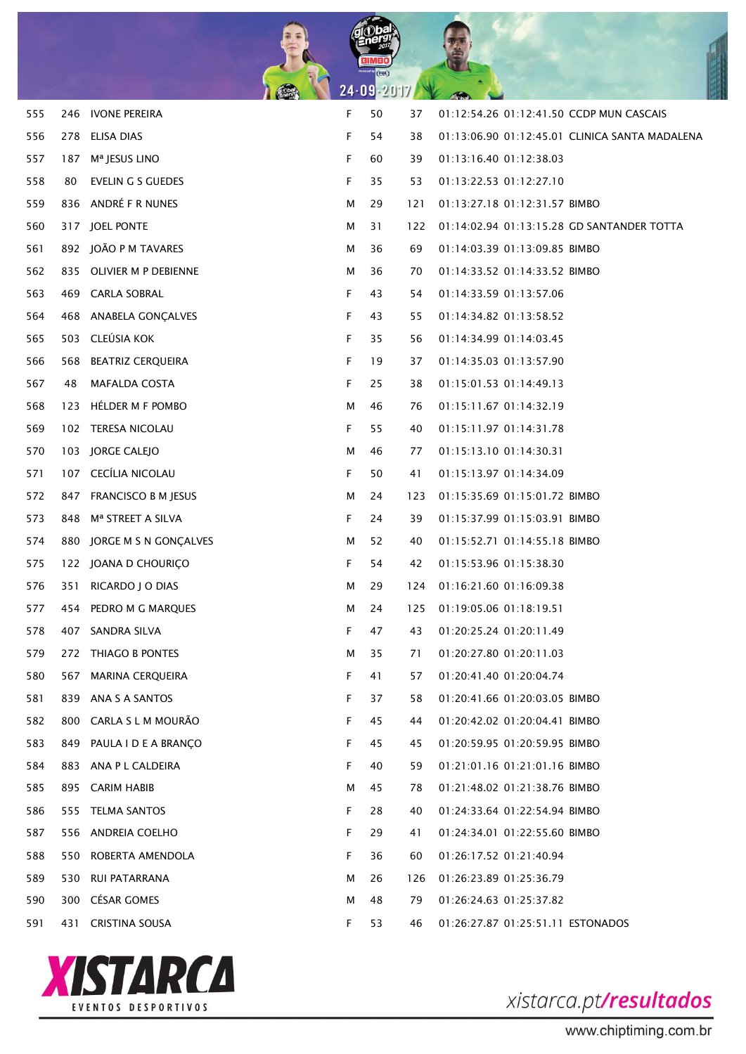

| 555 |     | 246 IVONE PEREIRA             | F  | 50 | 37  | 01:12:54.26 01:12:41.50 CCDP MUN CASCAIS       |
|-----|-----|-------------------------------|----|----|-----|------------------------------------------------|
| 556 |     | 278 ELISA DIAS                | F  | 54 | 38  | 01:13:06.90 01:12:45.01 CLINICA SANTA MADALENA |
| 557 |     | 187 M <sup>a</sup> JESUS LINO | F  | 60 | 39  | 01:13:16.40 01:12:38.03                        |
| 558 | 80  | EVELIN G S GUEDES             | F  | 35 | 53  | 01:13:22.53 01:12:27.10                        |
| 559 |     | 836 ANDRÉ F R NUNES           | м  | 29 | 121 | 01:13:27.18 01:12:31.57 BIMBO                  |
| 560 |     | 317 JOEL PONTE                | м  | 31 | 122 | 01:14:02.94 01:13:15.28 GD SANTANDER TOTTA     |
| 561 |     | 892 JOÃO P M TAVARES          | M  | 36 | 69  | 01:14:03.39 01:13:09.85 BIMBO                  |
| 562 |     | 835 OLIVIER M P DEBIENNE      | м  | 36 | 70  | 01:14:33.52 01:14:33.52 BIMBO                  |
| 563 |     | 469 CARLA SOBRAL              | F  | 43 | 54  | 01:14:33.59 01:13:57.06                        |
| 564 |     | 468 ANABELA GONÇALVES         | F  | 43 | 55  | 01:14:34.82 01:13:58.52                        |
| 565 |     | 503 CLEÚSIA KOK               | F  | 35 | 56  | 01:14:34.99 01:14:03.45                        |
| 566 |     | 568 BEATRIZ CERQUEIRA         | F  | 19 | 37  | 01:14:35.03 01:13:57.90                        |
| 567 | 48  | <b>MAFALDA COSTA</b>          | F  | 25 | 38  | 01:15:01.53 01:14:49.13                        |
| 568 |     | 123 HÉLDER M F POMBO          | м  | 46 | 76  | 01:15:11.67 01:14:32.19                        |
| 569 |     | 102 TERESA NICOLAU            | F. | 55 | 40  | 01:15:11.97 01:14:31.78                        |
| 570 |     | 103 JORGE CALEJO              | м  | 46 | 77  | 01:15:13.10 01:14:30.31                        |
| 571 |     | 107 CECÍLIA NICOLAU           | F. | 50 | 41  | 01:15:13.97 01:14:34.09                        |
| 572 |     | 847 FRANCISCO B M JESUS       | м  | 24 | 123 | 01:15:35.69 01:15:01.72 BIMBO                  |
| 573 |     | 848 Mª STREET A SILVA         | F  | 24 | 39  | 01:15:37.99 01:15:03.91 BIMBO                  |
| 574 |     | 880 JORGE M S N GONÇALVES     | м  | 52 | 40  | 01:15:52.71 01:14:55.18 BIMBO                  |
| 575 |     | 122 JOANA D CHOURIÇO          | F  | 54 | 42  | 01:15:53.96 01:15:38.30                        |
| 576 |     | 351 RICARDO J O DIAS          | м  | 29 | 124 | 01:16:21.60 01:16:09.38                        |
| 577 |     | 454 PEDRO M G MARQUES         | м  | 24 | 125 | 01:19:05.06 01:18:19.51                        |
| 578 |     | 407 SANDRA SILVA              | F  | 47 | 43  | 01:20:25.24 01:20:11.49                        |
| 579 |     | 272 THIAGO B PONTES           | м  | 35 | 71  | 01:20:27.80 01:20:11.03                        |
| 580 | 567 | <b>MARINA CERQUEIRA</b>       | F  | 41 | 57  | 01:20:41.40 01:20:04.74                        |
| 581 |     | 839 ANA S A SANTOS            | F  | 37 | 58  | 01:20:41.66 01:20:03.05 BIMBO                  |
| 582 |     | 800 CARLA S L M MOURÃO        | F  | 45 | 44  | 01:20:42.02 01:20:04.41 BIMBO                  |
| 583 |     | 849 PAULA I D E A BRANCO      | F  | 45 | 45  | 01:20:59.95 01:20:59.95 BIMBO                  |
| 584 |     | 883 ANA P L CALDEIRA          | F  | 40 | 59  | 01:21:01.16 01:21:01.16 BIMBO                  |
| 585 |     | 895 CARIM HABIB               | м  | 45 | 78  | 01:21:48.02 01:21:38.76 BIMBO                  |
| 586 |     | 555 TELMA SANTOS              | F  | 28 | 40  | 01:24:33.64 01:22:54.94 BIMBO                  |
| 587 |     | 556 ANDREIA COELHO            | F  | 29 | 41  | 01:24:34.01 01:22:55.60 BIMBO                  |
| 588 |     | 550 ROBERTA AMENDOLA          | F  | 36 | 60  | 01:26:17.52 01:21:40.94                        |
| 589 |     | 530 RUI PATARRANA             | м  | 26 | 126 | 01:26:23.89 01:25:36.79                        |
| 590 |     | 300 CÉSAR GOMES               | м  | 48 | 79  | 01:26:24.63 01:25:37.82                        |
| 591 | 431 | <b>CRISTINA SOUSA</b>         | F  | 53 | 46  | 01:26:27.87 01:25:51.11 ESTONADOS              |
|     |     |                               |    |    |     |                                                |